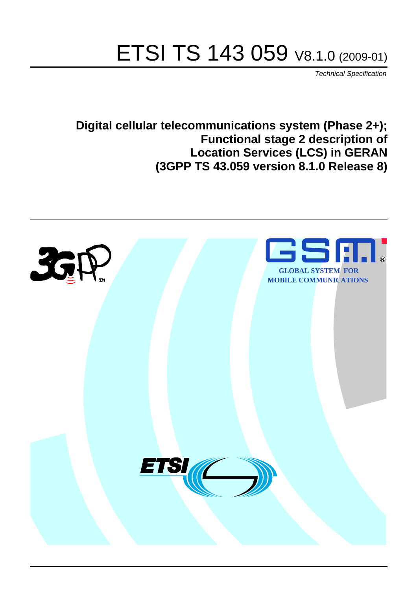# ETSI TS 143 059 V8.1.0 (2009-01)

*Technical Specification*

**Digital cellular telecommunications system (Phase 2+); Functional stage 2 description of Location Services (LCS) in GERAN (3GPP TS 43.059 version 8.1.0 Release 8)**

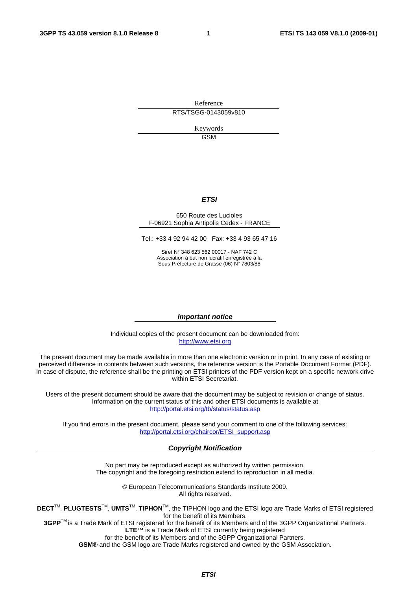Reference RTS/TSGG-0143059v810

> Keywords GSM

#### *ETSI*

#### 650 Route des Lucioles F-06921 Sophia Antipolis Cedex - FRANCE

Tel.: +33 4 92 94 42 00 Fax: +33 4 93 65 47 16

Siret N° 348 623 562 00017 - NAF 742 C Association à but non lucratif enregistrée à la Sous-Préfecture de Grasse (06) N° 7803/88

#### *Important notice*

Individual copies of the present document can be downloaded from: [http://www.etsi.org](http://www.etsi.org/)

The present document may be made available in more than one electronic version or in print. In any case of existing or perceived difference in contents between such versions, the reference version is the Portable Document Format (PDF). In case of dispute, the reference shall be the printing on ETSI printers of the PDF version kept on a specific network drive within ETSI Secretariat.

Users of the present document should be aware that the document may be subject to revision or change of status. Information on the current status of this and other ETSI documents is available at <http://portal.etsi.org/tb/status/status.asp>

If you find errors in the present document, please send your comment to one of the following services: [http://portal.etsi.org/chaircor/ETSI\\_support.asp](http://portal.etsi.org/chaircor/ETSI_support.asp)

#### *Copyright Notification*

No part may be reproduced except as authorized by written permission. The copyright and the foregoing restriction extend to reproduction in all media.

> © European Telecommunications Standards Institute 2009. All rights reserved.

**DECT**TM, **PLUGTESTS**TM, **UMTS**TM, **TIPHON**TM, the TIPHON logo and the ETSI logo are Trade Marks of ETSI registered for the benefit of its Members.

**3GPP**TM is a Trade Mark of ETSI registered for the benefit of its Members and of the 3GPP Organizational Partners. **LTE**™ is a Trade Mark of ETSI currently being registered

for the benefit of its Members and of the 3GPP Organizational Partners.

**GSM**® and the GSM logo are Trade Marks registered and owned by the GSM Association.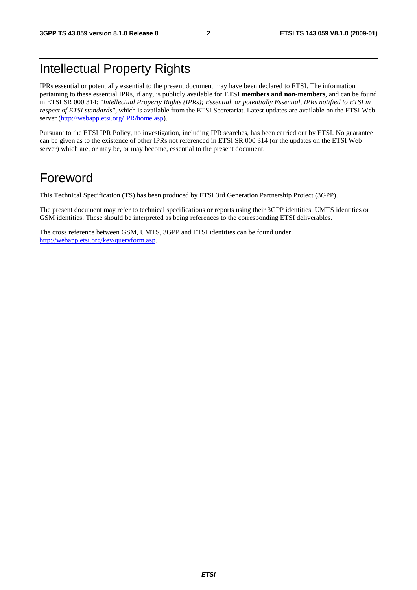## Intellectual Property Rights

IPRs essential or potentially essential to the present document may have been declared to ETSI. The information pertaining to these essential IPRs, if any, is publicly available for **ETSI members and non-members**, and can be found in ETSI SR 000 314: *"Intellectual Property Rights (IPRs); Essential, or potentially Essential, IPRs notified to ETSI in respect of ETSI standards"*, which is available from the ETSI Secretariat. Latest updates are available on the ETSI Web server ([http://webapp.etsi.org/IPR/home.asp\)](http://webapp.etsi.org/IPR/home.asp).

Pursuant to the ETSI IPR Policy, no investigation, including IPR searches, has been carried out by ETSI. No guarantee can be given as to the existence of other IPRs not referenced in ETSI SR 000 314 (or the updates on the ETSI Web server) which are, or may be, or may become, essential to the present document.

## Foreword

This Technical Specification (TS) has been produced by ETSI 3rd Generation Partnership Project (3GPP).

The present document may refer to technical specifications or reports using their 3GPP identities, UMTS identities or GSM identities. These should be interpreted as being references to the corresponding ETSI deliverables.

The cross reference between GSM, UMTS, 3GPP and ETSI identities can be found under [http://webapp.etsi.org/key/queryform.asp.](http://webapp.etsi.org/key/queryform.asp)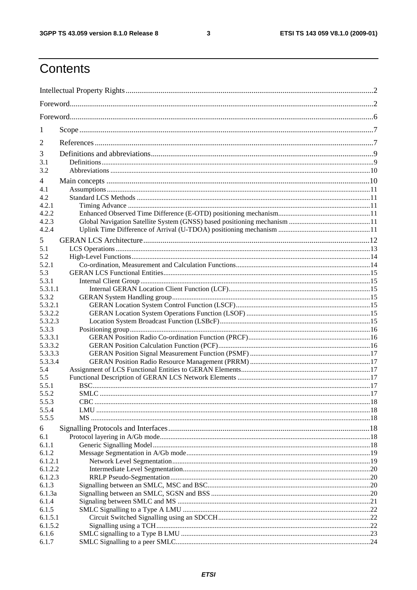$\mathbf{3}$ 

## Contents

| 1                  |  |
|--------------------|--|
| $\overline{2}$     |  |
| 3                  |  |
| 3.1                |  |
| 3.2                |  |
| 4                  |  |
| 4.1                |  |
| 4.2                |  |
| 4.2.1              |  |
| 4.2.2              |  |
| 4.2.3              |  |
| 4.2.4              |  |
| 5                  |  |
| 5.1                |  |
| 5.2                |  |
| 5.2.1              |  |
| 5.3                |  |
| 5.3.1              |  |
| 5.3.1.1            |  |
| 5.3.2              |  |
| 5.3.2.1            |  |
| 5.3.2.2            |  |
| 5.3.2.3            |  |
| 5.3.3              |  |
| 5.3.3.1            |  |
| 5.3.3.2<br>5.3.3.3 |  |
| 5.3.3.4            |  |
| 5.4                |  |
| 5.5                |  |
| 5.5.1              |  |
| 5.5.2              |  |
| 5.5.3              |  |
| 5.5.4              |  |
| 5.5.5              |  |
| 6                  |  |
| 6.1                |  |
| 6.1.1              |  |
| 6.1.2              |  |
| 6.1.2.1            |  |
| 6.1.2.2            |  |
| 6.1.2.3            |  |
| 6.1.3              |  |
| 6.1.3a             |  |
| 6.1.4              |  |
| 6.1.5<br>6.1.5.1   |  |
| 6.1.5.2            |  |
| 6.1.6              |  |
| 6.1.7              |  |
|                    |  |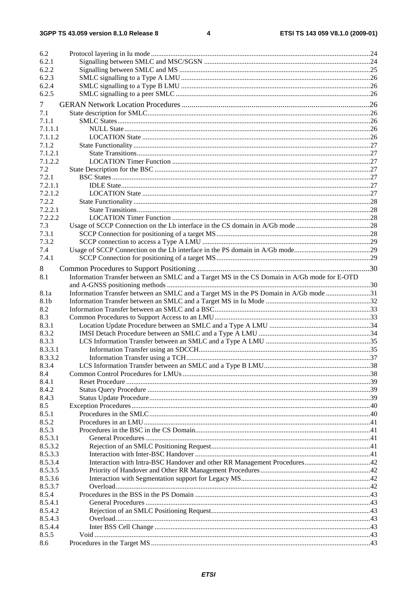$\overline{\mathbf{4}}$ 

| 6.2     |                                                                                              |  |
|---------|----------------------------------------------------------------------------------------------|--|
| 6.2.1   |                                                                                              |  |
| 6.2.2   |                                                                                              |  |
| 6.2.3   |                                                                                              |  |
| 6.2.4   |                                                                                              |  |
| 6.2.5   |                                                                                              |  |
|         |                                                                                              |  |
| 7       |                                                                                              |  |
| 7.1     |                                                                                              |  |
| 7.1.1   |                                                                                              |  |
| 7.1.1.1 |                                                                                              |  |
| 7.1.1.2 |                                                                                              |  |
| 7.1.2   |                                                                                              |  |
| 7.1.2.1 |                                                                                              |  |
| 7.1.2.2 |                                                                                              |  |
| 7.2     |                                                                                              |  |
| 7.2.1   |                                                                                              |  |
| 7.2.1.1 |                                                                                              |  |
| 7.2.1.2 |                                                                                              |  |
| 7.2.2   |                                                                                              |  |
| 7.2.2.1 |                                                                                              |  |
| 7.2.2.2 |                                                                                              |  |
| 7.3     |                                                                                              |  |
| 7.3.1   |                                                                                              |  |
| 7.3.2   |                                                                                              |  |
| 7.4     |                                                                                              |  |
| 7.4.1   |                                                                                              |  |
| 8       |                                                                                              |  |
| 8.1     | Information Transfer between an SMLC and a Target MS in the CS Domain in A/Gb mode for E-OTD |  |
|         |                                                                                              |  |
| 8.1a    | Information Transfer between an SMLC and a Target MS in the PS Domain in A/Gb mode 31        |  |
| 8.1b    |                                                                                              |  |
| 8.2     |                                                                                              |  |
| 8.3     |                                                                                              |  |
| 8.3.1   |                                                                                              |  |
| 8.3.2   |                                                                                              |  |
| 8.3.3   |                                                                                              |  |
| 8.3.3.1 |                                                                                              |  |
| 8.3.3.2 |                                                                                              |  |
| 8.3.4   |                                                                                              |  |
| 8.4     |                                                                                              |  |
| 8.4.1   |                                                                                              |  |
| 8.4.2   |                                                                                              |  |
| 8.4.3   |                                                                                              |  |
| 8.5     |                                                                                              |  |
| 8.5.1   |                                                                                              |  |
| 8.5.2   |                                                                                              |  |
| 8.5.3   |                                                                                              |  |
| 8.5.3.1 |                                                                                              |  |
| 8.5.3.2 |                                                                                              |  |
| 8.5.3.3 |                                                                                              |  |
| 8.5.3.4 |                                                                                              |  |
| 8.5.3.5 |                                                                                              |  |
| 8.5.3.6 |                                                                                              |  |
| 8.5.3.7 |                                                                                              |  |
| 8.5.4   |                                                                                              |  |
| 8.5.4.1 |                                                                                              |  |
| 8.5.4.2 |                                                                                              |  |
| 8.5.4.3 |                                                                                              |  |
| 8.5.4.4 |                                                                                              |  |
| 8.5.5   |                                                                                              |  |
| 8.6     |                                                                                              |  |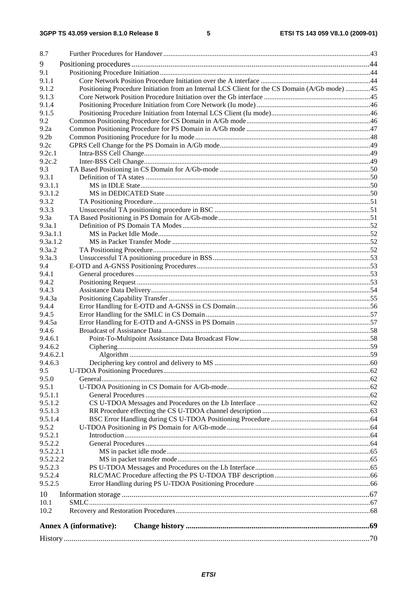| 8.7                |                                                                                               |  |
|--------------------|-----------------------------------------------------------------------------------------------|--|
| 9                  |                                                                                               |  |
| 9.1                |                                                                                               |  |
| 9.1.1              |                                                                                               |  |
| 9.1.2              | Positioning Procedure Initiation from an Internal LCS Client for the CS Domain (A/Gb mode) 45 |  |
| 9.1.3              |                                                                                               |  |
| 9.1.4              |                                                                                               |  |
| 9.1.5              |                                                                                               |  |
| 9.2                |                                                                                               |  |
| 9.2a               |                                                                                               |  |
| 9.2 <sub>b</sub>   |                                                                                               |  |
| 9.2c               |                                                                                               |  |
| 9.2c.1             |                                                                                               |  |
| 9.2c.2             |                                                                                               |  |
| 9.3                |                                                                                               |  |
| 9.3.1              |                                                                                               |  |
| 9.3.1.1            |                                                                                               |  |
| 9.3.1.2<br>9.3.2   |                                                                                               |  |
| 9.3.3              |                                                                                               |  |
| 9.3a               |                                                                                               |  |
| 9.3a.1             |                                                                                               |  |
| 9.3a.1.1           |                                                                                               |  |
| 9.3a.1.2           |                                                                                               |  |
| 9.3a.2             |                                                                                               |  |
| 9.3a.3             |                                                                                               |  |
| 9.4                |                                                                                               |  |
| 9.4.1              |                                                                                               |  |
| 9.4.2              |                                                                                               |  |
| 9.4.3              |                                                                                               |  |
| 9.4.3a             |                                                                                               |  |
| 9.4.4              |                                                                                               |  |
| 9.4.5              |                                                                                               |  |
| 9.4.5a             |                                                                                               |  |
| 9.4.6              |                                                                                               |  |
| 9.4.6.1<br>9.4.6.2 |                                                                                               |  |
| 9.4.6.2.1          |                                                                                               |  |
| 9.4.6.3            |                                                                                               |  |
| 9.5                |                                                                                               |  |
| 9.5.0              |                                                                                               |  |
| 9.5.1              |                                                                                               |  |
| 9.5.1.1            |                                                                                               |  |
| 9.5.1.2            |                                                                                               |  |
| 9.5.1.3            |                                                                                               |  |
| 9.5.1.4            |                                                                                               |  |
| 9.5.2              |                                                                                               |  |
| 9.5.2.1            |                                                                                               |  |
| 9.5.2.2            |                                                                                               |  |
| 9.5.2.2.1          |                                                                                               |  |
| 9.5.2.2.2          |                                                                                               |  |
| 9.5.2.3            |                                                                                               |  |
| 9.5.2.4<br>9.5.2.5 |                                                                                               |  |
|                    |                                                                                               |  |
| 10                 |                                                                                               |  |
| 10.1<br>10.2       |                                                                                               |  |
|                    |                                                                                               |  |
|                    | <b>Annex A (informative):</b>                                                                 |  |
|                    |                                                                                               |  |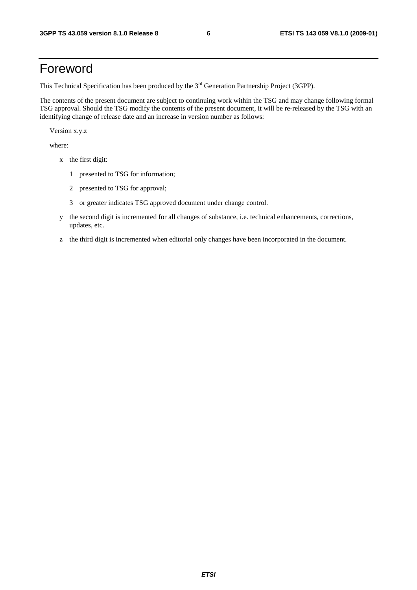## Foreword

This Technical Specification has been produced by the 3<sup>rd</sup> Generation Partnership Project (3GPP).

The contents of the present document are subject to continuing work within the TSG and may change following formal TSG approval. Should the TSG modify the contents of the present document, it will be re-released by the TSG with an identifying change of release date and an increase in version number as follows:

Version x.y.z

where:

- x the first digit:
	- 1 presented to TSG for information;
	- 2 presented to TSG for approval;
	- 3 or greater indicates TSG approved document under change control.
- y the second digit is incremented for all changes of substance, i.e. technical enhancements, corrections, updates, etc.
- z the third digit is incremented when editorial only changes have been incorporated in the document.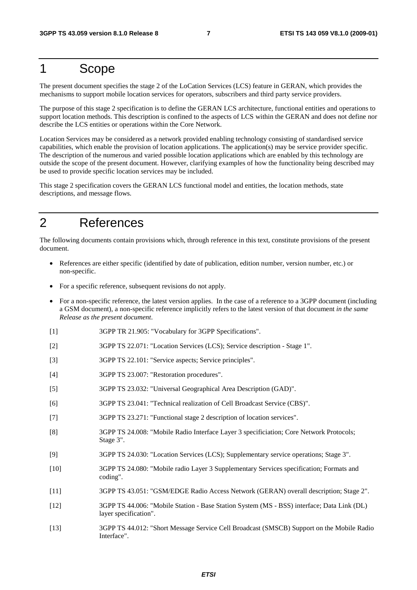## 1 Scope

The present document specifies the stage 2 of the LoCation Services (LCS) feature in GERAN, which provides the mechanisms to support mobile location services for operators, subscribers and third party service providers.

The purpose of this stage 2 specification is to define the GERAN LCS architecture, functional entities and operations to support location methods. This description is confined to the aspects of LCS within the GERAN and does not define nor describe the LCS entities or operations within the Core Network.

Location Services may be considered as a network provided enabling technology consisting of standardised service capabilities, which enable the provision of location applications. The application(s) may be service provider specific. The description of the numerous and varied possible location applications which are enabled by this technology are outside the scope of the present document. However, clarifying examples of how the functionality being described may be used to provide specific location services may be included.

This stage 2 specification covers the GERAN LCS functional model and entities, the location methods, state descriptions, and message flows.

## 2 References

The following documents contain provisions which, through reference in this text, constitute provisions of the present document.

- References are either specific (identified by date of publication, edition number, version number, etc.) or non-specific.
- For a specific reference, subsequent revisions do not apply.
- For a non-specific reference, the latest version applies. In the case of a reference to a 3GPP document (including a GSM document), a non-specific reference implicitly refers to the latest version of that document *in the same Release as the present document*.
- [1] 3GPP TR 21.905: "Vocabulary for 3GPP Specifications".
- [2] 3GPP TS 22.071: "Location Services (LCS); Service description Stage 1".
- [3] 3GPP TS 22.101: "Service aspects; Service principles".
- [4] 3GPP TS 23.007: "Restoration procedures".
- [5] 3GPP TS 23.032: "Universal Geographical Area Description (GAD)".
- [6] 3GPP TS 23.041: "Technical realization of Cell Broadcast Service (CBS)".
- [7] 3GPP TS 23.271: "Functional stage 2 description of location services".
- [8] 3GPP TS 24.008: "Mobile Radio Interface Layer 3 specificiation; Core Network Protocols; Stage 3".
- [9] 3GPP TS 24.030: "Location Services (LCS); Supplementary service operations; Stage 3".
- [10] 3GPP TS 24.080: "Mobile radio Layer 3 Supplementary Services specification; Formats and coding".
- [11] 3GPP TS 43.051: "GSM/EDGE Radio Access Network (GERAN) overall description; Stage 2".
- [12] 3GPP TS 44.006: "Mobile Station Base Station System (MS BSS) interface; Data Link (DL) layer specification".
- [13] 3GPP TS 44.012: "Short Message Service Cell Broadcast (SMSCB) Support on the Mobile Radio Interface".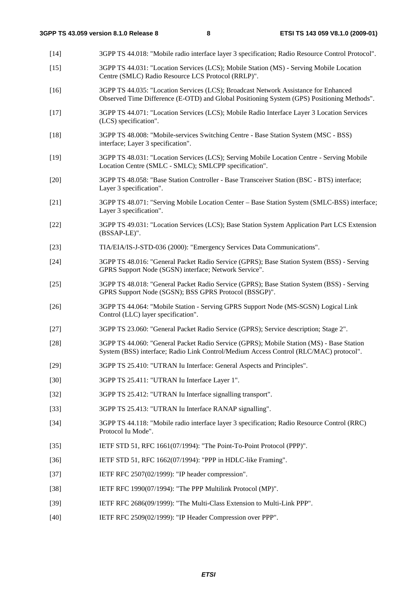[14] 3GPP TS 44.018: "Mobile radio interface layer 3 specification; Radio Resource Control Protocol". [15] 3GPP TS 44.031: "Location Services (LCS); Mobile Station (MS) - Serving Mobile Location Centre (SMLC) Radio Resource LCS Protocol (RRLP)". [16] 3GPP TS 44.035: "Location Services (LCS); Broadcast Network Assistance for Enhanced Observed Time Difference (E-OTD) and Global Positioning System (GPS) Positioning Methods". [17] 3GPP TS 44.071: "Location Services (LCS); Mobile Radio Interface Layer 3 Location Services (LCS) specification". [18] 3GPP TS 48.008: "Mobile-services Switching Centre - Base Station System (MSC - BSS) interface; Layer 3 specification". [19] 3GPP TS 48.031: "Location Services (LCS); Serving Mobile Location Centre - Serving Mobile Location Centre (SMLC - SMLC); SMLCPP specification". [20] 3GPP TS 48.058: "Base Station Controller - Base Transceiver Station (BSC - BTS) interface; Layer 3 specification". [21] 3GPP TS 48.071: "Serving Mobile Location Center – Base Station System (SMLC-BSS) interface; Layer 3 specification". [22] 3GPP TS 49.031: "Location Services (LCS); Base Station System Application Part LCS Extension (BSSAP-LE)". [23] TIA/EIA/IS-J-STD-036 (2000): "Emergency Services Data Communications". [24] 3GPP TS 48.016: "General Packet Radio Service (GPRS); Base Station System (BSS) - Serving GPRS Support Node (SGSN) interface; Network Service". [25] 3GPP TS 48.018: "General Packet Radio Service (GPRS); Base Station System (BSS) - Serving GPRS Support Node (SGSN); BSS GPRS Protocol (BSSGP)". [26] 3GPP TS 44.064: "Mobile Station - Serving GPRS Support Node (MS-SGSN) Logical Link Control (LLC) layer specification". [27] 3GPP TS 23.060: "General Packet Radio Service (GPRS); Service description; Stage 2". [28] 3GPP TS 44.060: "General Packet Radio Service (GPRS); Mobile Station (MS) - Base Station System (BSS) interface; Radio Link Control/Medium Access Control (RLC/MAC) protocol". [29] 3GPP TS 25.410: "UTRAN Iu Interface: General Aspects and Principles". [30] 3GPP TS 25.411: "UTRAN Iu Interface Layer 1". [32] 3GPP TS 25.412: "UTRAN Iu Interface signalling transport". [33] 3GPP TS 25.413: "UTRAN Iu Interface RANAP signalling". [34] 3GPP TS 44.118: "Mobile radio interface layer 3 specification; Radio Resource Control (RRC) Protocol Iu Mode". [35] IETF STD 51, RFC 1661(07/1994): "The Point-To-Point Protocol (PPP)". [36] IETF STD 51, RFC 1662(07/1994): "PPP in HDLC-like Framing". [37] IETF RFC 2507(02/1999): "IP header compression". [38] IETF RFC 1990(07/1994): "The PPP Multilink Protocol (MP)". [39] IETF RFC 2686(09/1999): "The Multi-Class Extension to Multi-Link PPP". [40] IETF RFC 2509(02/1999): "IP Header Compression over PPP".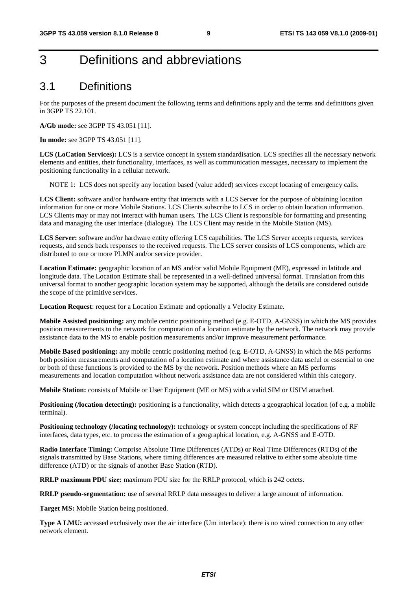## 3 Definitions and abbreviations

### 3.1 Definitions

For the purposes of the present document the following terms and definitions apply and the terms and definitions given in 3GPP TS 22.101.

**A/Gb mode:** see 3GPP TS 43.051 [11].

**Iu mode:** see 3GPP TS 43.051 [11].

**LCS (LoCation Services):** LCS is a service concept in system standardisation. LCS specifies all the necessary network elements and entities, their functionality, interfaces, as well as communication messages, necessary to implement the positioning functionality in a cellular network.

NOTE 1: LCS does not specify any location based (value added) services except locating of emergency calls.

**LCS Client:** software and/or hardware entity that interacts with a LCS Server for the purpose of obtaining location information for one or more Mobile Stations. LCS Clients subscribe to LCS in order to obtain location information. LCS Clients may or may not interact with human users. The LCS Client is responsible for formatting and presenting data and managing the user interface (dialogue). The LCS Client may reside in the Mobile Station (MS).

**LCS Server:** software and/or hardware entity offering LCS capabilities. The LCS Server accepts requests, services requests, and sends back responses to the received requests. The LCS server consists of LCS components, which are distributed to one or more PLMN and/or service provider.

**Location Estimate:** geographic location of an MS and/or valid Mobile Equipment (ME), expressed in latitude and longitude data. The Location Estimate shall be represented in a well-defined universal format. Translation from this universal format to another geographic location system may be supported, although the details are considered outside the scope of the primitive services.

**Location Request:** request for a Location Estimate and optionally a Velocity Estimate.

**Mobile Assisted positioning:** any mobile centric positioning method (e.g. E-OTD, A-GNSS) in which the MS provides position measurements to the network for computation of a location estimate by the network. The network may provide assistance data to the MS to enable position measurements and/or improve measurement performance.

**Mobile Based positioning:** any mobile centric positioning method (e.g. E-OTD, A-GNSS) in which the MS performs both position measurements and computation of a location estimate and where assistance data useful or essential to one or both of these functions is provided to the MS by the network. Position methods where an MS performs measurements and location computation without network assistance data are not considered within this category.

**Mobile Station:** consists of Mobile or User Equipment (ME or MS) with a valid SIM or USIM attached.

**Positioning (***location detecting*): positioning is a functionality, which detects a geographical location (of e.g. a mobile terminal).

**Positioning technology (/locating technology):** technology or system concept including the specifications of RF interfaces, data types, etc. to process the estimation of a geographical location, e.g. A-GNSS and E-OTD.

**Radio Interface Timing:** Comprise Absolute Time Differences (ATDs) or Real Time Differences (RTDs) of the signals transmitted by Base Stations, where timing differences are measured relative to either some absolute time difference (ATD) or the signals of another Base Station (RTD).

**RRLP maximum PDU size:** maximum PDU size for the RRLP protocol, which is 242 octets.

**RRLP pseudo-segmentation:** use of several RRLP data messages to deliver a large amount of information.

**Target MS:** Mobile Station being positioned.

**Type A LMU:** accessed exclusively over the air interface (Um interface): there is no wired connection to any other network element.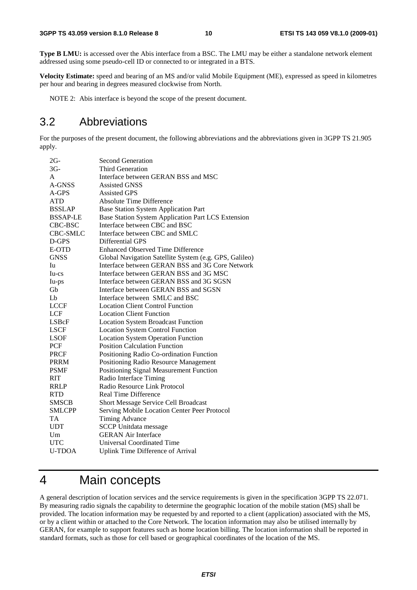**Type B LMU:** is accessed over the Abis interface from a BSC. The LMU may be either a standalone network element addressed using some pseudo-cell ID or connected to or integrated in a BTS.

**Velocity Estimate:** speed and bearing of an MS and/or valid Mobile Equipment (ME), expressed as speed in kilometres per hour and bearing in degrees measured clockwise from North.

NOTE 2: Abis interface is beyond the scope of the present document.

## 3.2 Abbreviations

For the purposes of the present document, the following abbreviations and the abbreviations given in 3GPP TS 21.905 apply.

| $2G-$           | <b>Second Generation</b>                               |
|-----------------|--------------------------------------------------------|
| $3G-$           | Third Generation                                       |
| A               | Interface between GERAN BSS and MSC                    |
| A-GNSS          | <b>Assisted GNSS</b>                                   |
| A-GPS           | <b>Assisted GPS</b>                                    |
| <b>ATD</b>      | <b>Absolute Time Difference</b>                        |
| <b>BSSLAP</b>   | <b>Base Station System Application Part</b>            |
| <b>BSSAP-LE</b> | Base Station System Application Part LCS Extension     |
| CBC-BSC         | Interface between CBC and BSC                          |
| <b>CBC-SMLC</b> | Interface between CBC and SMLC                         |
| D-GPS           | Differential GPS                                       |
| E-OTD           | <b>Enhanced Observed Time Difference</b>               |
| <b>GNSS</b>     | Global Navigation Satellite System (e.g. GPS, Galileo) |
| Iu              | Interface between GERAN BSS and 3G Core Network        |
| $Iu-cs$         | Interface between GERAN BSS and 3G MSC                 |
| Iu-ps           | Interface between GERAN BSS and 3G SGSN                |
| Gb              | Interface between GERAN BSS and SGSN                   |
| Lb              | Interface between SMLC and BSC                         |
| <b>LCCF</b>     | <b>Location Client Control Function</b>                |
| LCF             | <b>Location Client Function</b>                        |
| LSBcF           | <b>Location System Broadcast Function</b>              |
| <b>LSCF</b>     | <b>Location System Control Function</b>                |
| <b>LSOF</b>     | <b>Location System Operation Function</b>              |
| PCF             | <b>Position Calculation Function</b>                   |
| <b>PRCF</b>     | Positioning Radio Co-ordination Function               |
| <b>PRRM</b>     | Positioning Radio Resource Management                  |
| <b>PSMF</b>     | Positioning Signal Measurement Function                |
| <b>RIT</b>      | Radio Interface Timing                                 |
| <b>RRLP</b>     | Radio Resource Link Protocol                           |
| <b>RTD</b>      | <b>Real Time Difference</b>                            |
| <b>SMSCB</b>    | Short Message Service Cell Broadcast                   |
| <b>SMLCPP</b>   | Serving Mobile Location Center Peer Protocol           |
| <b>TA</b>       | <b>Timing Advance</b>                                  |
| <b>UDT</b>      | <b>SCCP</b> Unitdata message                           |
| Um              | <b>GERAN Air Interface</b>                             |
| <b>UTC</b>      | Universal Coordinated Time                             |
| <b>U-TDOA</b>   | Uplink Time Difference of Arrival                      |

## 4 Main concepts

A general description of location services and the service requirements is given in the specification 3GPP TS 22.071. By measuring radio signals the capability to determine the geographic location of the mobile station (MS) shall be provided. The location information may be requested by and reported to a client (application) associated with the MS, or by a client within or attached to the Core Network. The location information may also be utilised internally by GERAN, for example to support features such as home location billing. The location information shall be reported in standard formats, such as those for cell based or geographical coordinates of the location of the MS.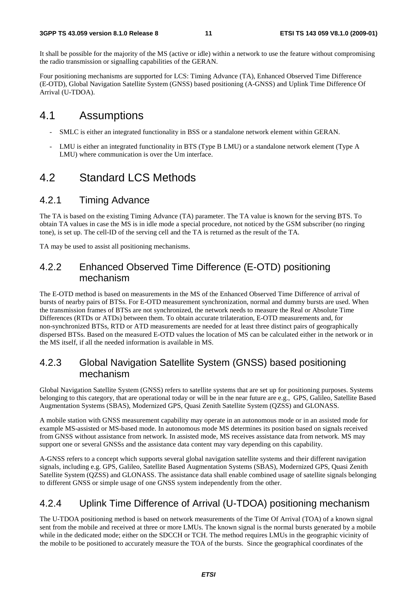It shall be possible for the majority of the MS (active or idle) within a network to use the feature without compromising the radio transmission or signalling capabilities of the GERAN.

Four positioning mechanisms are supported for LCS: Timing Advance (TA), Enhanced Observed Time Difference (E-OTD), Global Navigation Satellite System (GNSS) based positioning (A-GNSS) and Uplink Time Difference Of Arrival (U-TDOA).

### 4.1 Assumptions

- SMLC is either an integrated functionality in BSS or a standalone network element within GERAN.
- LMU is either an integrated functionality in BTS (Type B LMU) or a standalone network element (Type A LMU) where communication is over the Um interface.

### 4.2 Standard LCS Methods

#### 4.2.1 Timing Advance

The TA is based on the existing Timing Advance (TA) parameter. The TA value is known for the serving BTS. To obtain TA values in case the MS is in idle mode a special procedure, not noticed by the GSM subscriber (no ringing tone), is set up. The cell-ID of the serving cell and the TA is returned as the result of the TA.

TA may be used to assist all positioning mechanisms.

### 4.2.2 Enhanced Observed Time Difference (E-OTD) positioning mechanism

The E-OTD method is based on measurements in the MS of the Enhanced Observed Time Difference of arrival of bursts of nearby pairs of BTSs. For E-OTD measurement synchronization, normal and dummy bursts are used. When the transmission frames of BTSs are not synchronized, the network needs to measure the Real or Absolute Time Differences (RTDs or ATDs) between them. To obtain accurate trilateration, E-OTD measurements and, for non-synchronized BTSs, RTD or ATD measurements are needed for at least three distinct pairs of geographically dispersed BTSs. Based on the measured E-OTD values the location of MS can be calculated either in the network or in the MS itself, if all the needed information is available in MS.

### 4.2.3 Global Navigation Satellite System (GNSS) based positioning mechanism

Global Navigation Satellite System (GNSS) refers to satellite systems that are set up for positioning purposes. Systems belonging to this category, that are operational today or will be in the near future are e.g., GPS, Galileo, Satellite Based Augmentation Systems (SBAS), Modernized GPS, Quasi Zenith Satellite System (QZSS) and GLONASS.

A mobile station with GNSS measurement capability may operate in an autonomous mode or in an assisted mode for example MS-assisted or MS-based mode. In autonomous mode MS determines its position based on signals received from GNSS without assistance from network. In assisted mode, MS receives assistance data from network. MS may support one or several GNSSs and the assistance data content may vary depending on this capability.

A-GNSS refers to a concept which supports several global navigation satellite systems and their different navigation signals, including e.g. GPS, Galileo, Satellite Based Augmentation Systems (SBAS), Modernized GPS, Quasi Zenith Satellite System (QZSS) and GLONASS. The assistance data shall enable combined usage of satellite signals belonging to different GNSS or simple usage of one GNSS system independently from the other.

### 4.2.4 Uplink Time Difference of Arrival (U-TDOA) positioning mechanism

The U-TDOA positioning method is based on network measurements of the Time Of Arrival (TOA) of a known signal sent from the mobile and received at three or more LMUs. The known signal is the normal bursts generated by a mobile while in the dedicated mode; either on the SDCCH or TCH. The method requires LMUs in the geographic vicinity of the mobile to be positioned to accurately measure the TOA of the bursts. Since the geographical coordinates of the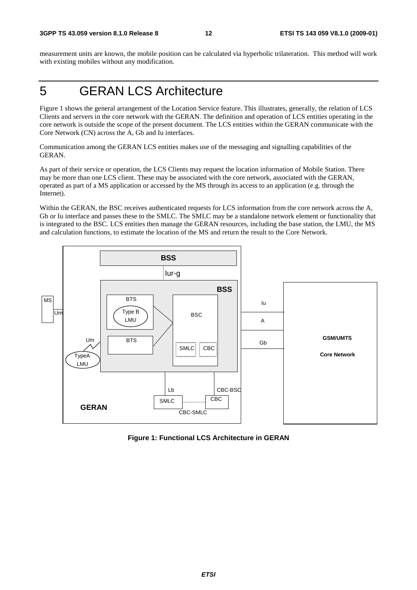measurement units are known, the mobile position can be calculated via hyperbolic trilateration. This method will work with existing mobiles without any modification.

## 5 GERAN LCS Architecture

Figure 1 shows the general arrangement of the Location Service feature. This illustrates, generally, the relation of LCS Clients and servers in the core network with the GERAN. The definition and operation of LCS entities operating in the core network is outside the scope of the present document. The LCS entities within the GERAN communicate with the Core Network (CN) across the A, Gb and Iu interfaces.

Communication among the GERAN LCS entities makes use of the messaging and signalling capabilities of the GERAN.

As part of their service or operation, the LCS Clients may request the location information of Mobile Station. There may be more than one LCS client. These may be associated with the core network, associated with the GERAN, operated as part of a MS application or accessed by the MS through its access to an application (e.g. through the Internet).

Within the GERAN, the BSC receives authenticated requests for LCS information from the core network across the A, Gb or Iu interface and passes these to the SMLC. The SMLC may be a standalone network element or functionality that is integrated to the BSC. LCS entities then manage the GERAN resources, including the base station, the LMU, the MS and calculation functions, to estimate the location of the MS and return the result to the Core Network.



**Figure 1: Functional LCS Architecture in GERAN**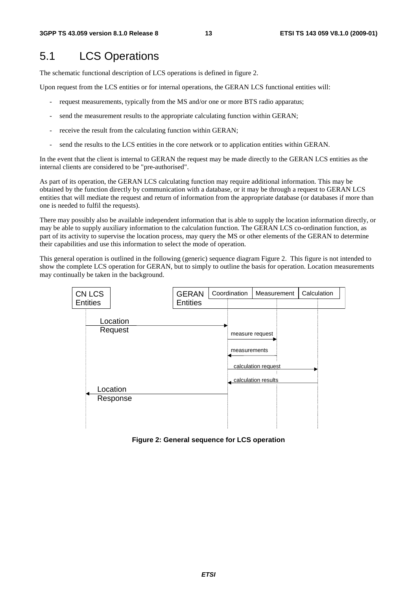## 5.1 LCS Operations

The schematic functional description of LCS operations is defined in figure 2.

Upon request from the LCS entities or for internal operations, the GERAN LCS functional entities will:

- request measurements, typically from the MS and/or one or more BTS radio apparatus;
- send the measurement results to the appropriate calculating function within GERAN;
- receive the result from the calculating function within GERAN;
- send the results to the LCS entities in the core network or to application entities within GERAN.

In the event that the client is internal to GERAN the request may be made directly to the GERAN LCS entities as the internal clients are considered to be "pre-authorised".

As part of its operation, the GERAN LCS calculating function may require additional information. This may be obtained by the function directly by communication with a database, or it may be through a request to GERAN LCS entities that will mediate the request and return of information from the appropriate database (or databases if more than one is needed to fulfil the requests).

There may possibly also be available independent information that is able to supply the location information directly, or may be able to supply auxiliary information to the calculation function. The GERAN LCS co-ordination function, as part of its activity to supervise the location process, may query the MS or other elements of the GERAN to determine their capabilities and use this information to select the mode of operation.

This general operation is outlined in the following (generic) sequence diagram Figure 2. This figure is not intended to show the complete LCS operation for GERAN, but to simply to outline the basis for operation. Location measurements may continually be taken in the background.



**Figure 2: General sequence for LCS operation**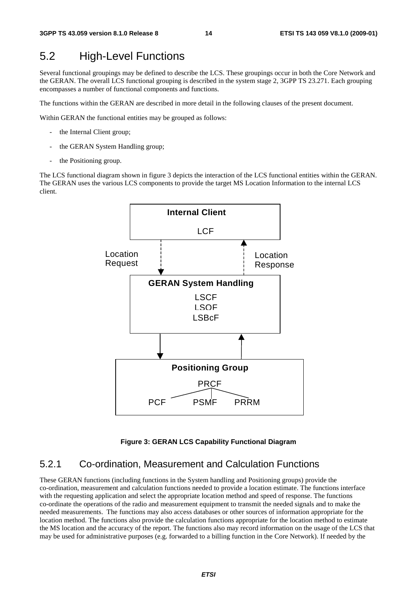## 5.2 High-Level Functions

Several functional groupings may be defined to describe the LCS. These groupings occur in both the Core Network and the GERAN. The overall LCS functional grouping is described in the system stage 2, 3GPP TS 23.271. Each grouping encompasses a number of functional components and functions.

The functions within the GERAN are described in more detail in the following clauses of the present document.

Within GERAN the functional entities may be grouped as follows:

- the Internal Client group;
- the GERAN System Handling group;
- the Positioning group.

The LCS functional diagram shown in figure 3 depicts the interaction of the LCS functional entities within the GERAN. The GERAN uses the various LCS components to provide the target MS Location Information to the internal LCS client.



#### **Figure 3: GERAN LCS Capability Functional Diagram**

#### 5.2.1 Co-ordination, Measurement and Calculation Functions

These GERAN functions (including functions in the System handling and Positioning groups) provide the co-ordination, measurement and calculation functions needed to provide a location estimate. The functions interface with the requesting application and select the appropriate location method and speed of response. The functions co-ordinate the operations of the radio and measurement equipment to transmit the needed signals and to make the needed measurements. The functions may also access databases or other sources of information appropriate for the location method. The functions also provide the calculation functions appropriate for the location method to estimate the MS location and the accuracy of the report. The functions also may record information on the usage of the LCS that may be used for administrative purposes (e.g. forwarded to a billing function in the Core Network). If needed by the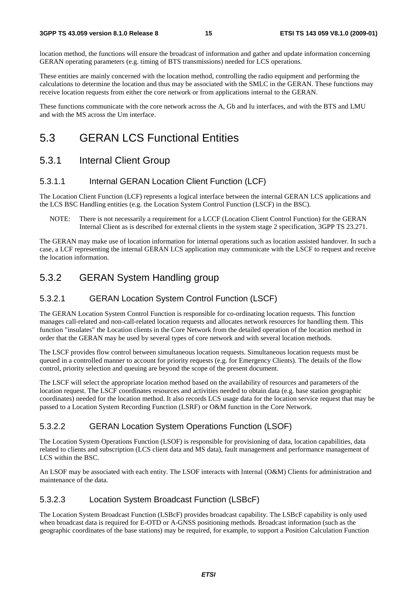location method, the functions will ensure the broadcast of information and gather and update information concerning GERAN operating parameters (e.g. timing of BTS transmissions) needed for LCS operations.

These entities are mainly concerned with the location method, controlling the radio equipment and performing the calculations to determine the location and thus may be associated with the SMLC in the GERAN. These functions may receive location requests from either the core network or from applications internal to the GERAN.

These functions communicate with the core network across the A, Gb and Iu interfaces, and with the BTS and LMU and with the MS across the Um interface.

## 5.3 GERAN LCS Functional Entities

### 5.3.1 Internal Client Group

#### 5.3.1.1 Internal GERAN Location Client Function (LCF)

The Location Client Function (LCF) represents a logical interface between the internal GERAN LCS applications and the LCS BSC Handling entities (e.g. the Location System Control Function (LSCF) in the BSC).

NOTE: There is not necessarily a requirement for a LCCF (Location Client Control Function) for the GERAN Internal Client as is described for external clients in the system stage 2 specification, 3GPP TS 23.271.

The GERAN may make use of location information for internal operations such as location assisted handover. In such a case, a LCF representing the internal GERAN LCS application may communicate with the LSCF to request and receive the location information.

### 5.3.2 GERAN System Handling group

#### 5.3.2.1 GERAN Location System Control Function (LSCF)

The GERAN Location System Control Function is responsible for co-ordinating location requests. This function manages call-related and non-call-related location requests and allocates network resources for handling them. This function "insulates" the Location clients in the Core Network from the detailed operation of the location method in order that the GERAN may be used by several types of core network and with several location methods.

The LSCF provides flow control between simultaneous location requests. Simultaneous location requests must be queued in a controlled manner to account for priority requests (e.g. for Emergency Clients). The details of the flow control, priority selection and queuing are beyond the scope of the present document.

The LSCF will select the appropriate location method based on the availability of resources and parameters of the location request. The LSCF coordinates resources and activities needed to obtain data (e.g. base station geographic coordinates) needed for the location method. It also records LCS usage data for the location service request that may be passed to a Location System Recording Function (LSRF) or O&M function in the Core Network.

#### 5.3.2.2 GERAN Location System Operations Function (LSOF)

The Location System Operations Function (LSOF) is responsible for provisioning of data, location capabilities, data related to clients and subscription (LCS client data and MS data), fault management and performance management of LCS within the BSC.

An LSOF may be associated with each entity. The LSOF interacts with Internal (O&M) Clients for administration and maintenance of the data.

#### 5.3.2.3 Location System Broadcast Function (LSBcF)

The Location System Broadcast Function (LSBcF) provides broadcast capability. The LSBcF capability is only used when broadcast data is required for E-OTD or A-GNSS positioning methods. Broadcast information (such as the geographic coordinates of the base stations) may be required, for example, to support a Position Calculation Function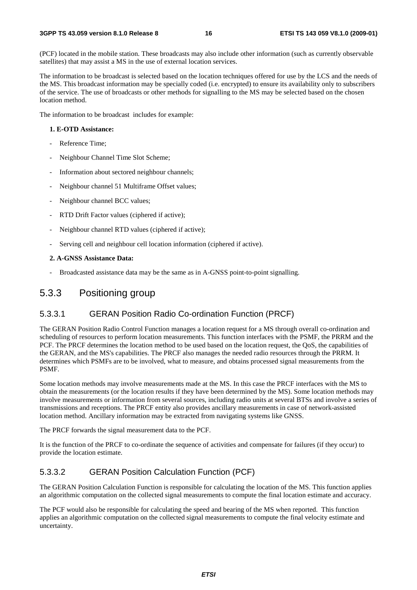(PCF) located in the mobile station. These broadcasts may also include other information (such as currently observable satellites) that may assist a MS in the use of external location services.

The information to be broadcast is selected based on the location techniques offered for use by the LCS and the needs of the MS. This broadcast information may be specially coded (i.e. encrypted) to ensure its availability only to subscribers of the service. The use of broadcasts or other methods for signalling to the MS may be selected based on the chosen location method.

The information to be broadcast includes for example:

#### **1. E-OTD Assistance:**

- Reference Time:
- Neighbour Channel Time Slot Scheme;
- Information about sectored neighbour channels;
- Neighbour channel 51 Multiframe Offset values;
- Neighbour channel BCC values;
- RTD Drift Factor values (ciphered if active);
- Neighbour channel RTD values (ciphered if active);
- Serving cell and neighbour cell location information (ciphered if active).

#### **2. A-GNSS Assistance Data:**

Broadcasted assistance data may be the same as in A-GNSS point-to-point signalling.

#### 5.3.3 Positioning group

#### 5.3.3.1 GERAN Position Radio Co-ordination Function (PRCF)

The GERAN Position Radio Control Function manages a location request for a MS through overall co-ordination and scheduling of resources to perform location measurements. This function interfaces with the PSMF, the PRRM and the PCF. The PRCF determines the location method to be used based on the location request, the QoS, the capabilities of the GERAN, and the MS's capabilities. The PRCF also manages the needed radio resources through the PRRM. It determines which PSMFs are to be involved, what to measure, and obtains processed signal measurements from the PSMF.

Some location methods may involve measurements made at the MS. In this case the PRCF interfaces with the MS to obtain the measurements (or the location results if they have been determined by the MS). Some location methods may involve measurements or information from several sources, including radio units at several BTSs and involve a series of transmissions and receptions. The PRCF entity also provides ancillary measurements in case of network-assisted location method. Ancillary information may be extracted from navigating systems like GNSS.

The PRCF forwards the signal measurement data to the PCF.

It is the function of the PRCF to co-ordinate the sequence of activities and compensate for failures (if they occur) to provide the location estimate.

#### 5.3.3.2 GERAN Position Calculation Function (PCF)

The GERAN Position Calculation Function is responsible for calculating the location of the MS. This function applies an algorithmic computation on the collected signal measurements to compute the final location estimate and accuracy.

The PCF would also be responsible for calculating the speed and bearing of the MS when reported. This function applies an algorithmic computation on the collected signal measurements to compute the final velocity estimate and uncertainty.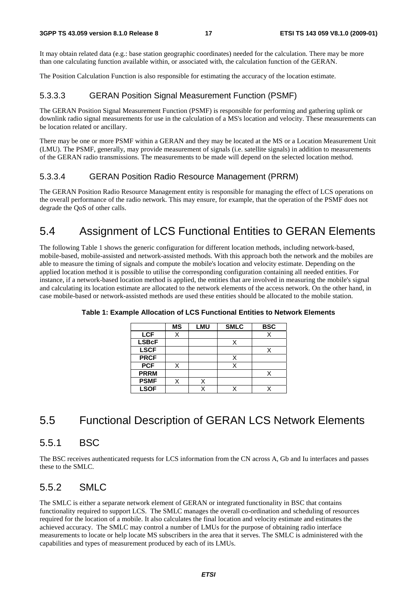It may obtain related data (e.g.: base station geographic coordinates) needed for the calculation. There may be more than one calculating function available within, or associated with, the calculation function of the GERAN.

The Position Calculation Function is also responsible for estimating the accuracy of the location estimate.

### 5.3.3.3 GERAN Position Signal Measurement Function (PSMF)

The GERAN Position Signal Measurement Function (PSMF) is responsible for performing and gathering uplink or downlink radio signal measurements for use in the calculation of a MS's location and velocity. These measurements can be location related or ancillary.

There may be one or more PSMF within a GERAN and they may be located at the MS or a Location Measurement Unit (LMU). The PSMF, generally, may provide measurement of signals (i.e. satellite signals) in addition to measurements of the GERAN radio transmissions. The measurements to be made will depend on the selected location method.

#### 5.3.3.4 GERAN Position Radio Resource Management (PRRM)

The GERAN Position Radio Resource Management entity is responsible for managing the effect of LCS operations on the overall performance of the radio network. This may ensure, for example, that the operation of the PSMF does not degrade the QoS of other calls.

## 5.4 Assignment of LCS Functional Entities to GERAN Elements

The following Table 1 shows the generic configuration for different location methods, including network-based, mobile-based, mobile-assisted and network-assisted methods. With this approach both the network and the mobiles are able to measure the timing of signals and compute the mobile's location and velocity estimate. Depending on the applied location method it is possible to utilise the corresponding configuration containing all needed entities. For instance, if a network-based location method is applied, the entities that are involved in measuring the mobile's signal and calculating its location estimate are allocated to the network elements of the access network. On the other hand, in case mobile-based or network-assisted methods are used these entities should be allocated to the mobile station.

|              | <b>MS</b> | <b>LMU</b> | <b>SMLC</b> | <b>BSC</b> |
|--------------|-----------|------------|-------------|------------|
| <b>LCF</b>   | Χ         |            |             |            |
| <b>LSBcF</b> |           |            |             |            |
| <b>LSCF</b>  |           |            |             |            |
| <b>PRCF</b>  |           |            | X           |            |
| <b>PCF</b>   | X         |            |             |            |
| <b>PRRM</b>  |           |            |             |            |
| <b>PSMF</b>  |           |            |             |            |
| <b>LSOF</b>  |           |            |             |            |

**Table 1: Example Allocation of LCS Functional Entities to Network Elements** 

## 5.5 Functional Description of GERAN LCS Network Elements

### 5.5.1 BSC

The BSC receives authenticated requests for LCS information from the CN across A, Gb and Iu interfaces and passes these to the SMLC.

## 5.5.2 SMLC

The SMLC is either a separate network element of GERAN or integrated functionality in BSC that contains functionality required to support LCS. The SMLC manages the overall co-ordination and scheduling of resources required for the location of a mobile. It also calculates the final location and velocity estimate and estimates the achieved accuracy. The SMLC may control a number of LMUs for the purpose of obtaining radio interface measurements to locate or help locate MS subscribers in the area that it serves. The SMLC is administered with the capabilities and types of measurement produced by each of its LMUs.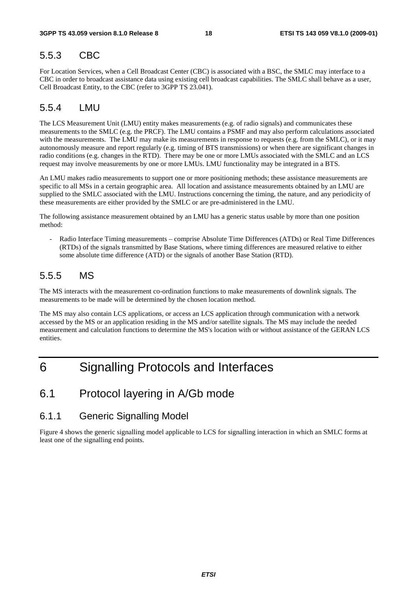### 5.5.3 CBC

For Location Services, when a Cell Broadcast Center (CBC) is associated with a BSC, the SMLC may interface to a CBC in order to broadcast assistance data using existing cell broadcast capabilities. The SMLC shall behave as a user, Cell Broadcast Entity, to the CBC (refer to 3GPP TS 23.041).

### 5.5.4 LMU

The LCS Measurement Unit (LMU) entity makes measurements (e.g. of radio signals) and communicates these measurements to the SMLC (e.g. the PRCF). The LMU contains a PSMF and may also perform calculations associated with the measurements. The LMU may make its measurements in response to requests (e.g. from the SMLC), or it may autonomously measure and report regularly (e.g. timing of BTS transmissions) or when there are significant changes in radio conditions (e.g. changes in the RTD). There may be one or more LMUs associated with the SMLC and an LCS request may involve measurements by one or more LMUs. LMU functionality may be integrated in a BTS.

An LMU makes radio measurements to support one or more positioning methods; these assistance measurements are specific to all MSs in a certain geographic area. All location and assistance measurements obtained by an LMU are supplied to the SMLC associated with the LMU. Instructions concerning the timing, the nature, and any periodicity of these measurements are either provided by the SMLC or are pre-administered in the LMU.

The following assistance measurement obtained by an LMU has a generic status usable by more than one position method:

- Radio Interface Timing measurements – comprise Absolute Time Differences (ATDs) or Real Time Differences (RTDs) of the signals transmitted by Base Stations, where timing differences are measured relative to either some absolute time difference (ATD) or the signals of another Base Station (RTD).

### 5.5.5 MS

The MS interacts with the measurement co-ordination functions to make measurements of downlink signals. The measurements to be made will be determined by the chosen location method.

The MS may also contain LCS applications, or access an LCS application through communication with a network accessed by the MS or an application residing in the MS and/or satellite signals. The MS may include the needed measurement and calculation functions to determine the MS's location with or without assistance of the GERAN LCS entities.

## 6 Signalling Protocols and Interfaces

### 6.1 Protocol layering in A/Gb mode

#### 6.1.1 Generic Signalling Model

Figure 4 shows the generic signalling model applicable to LCS for signalling interaction in which an SMLC forms at least one of the signalling end points.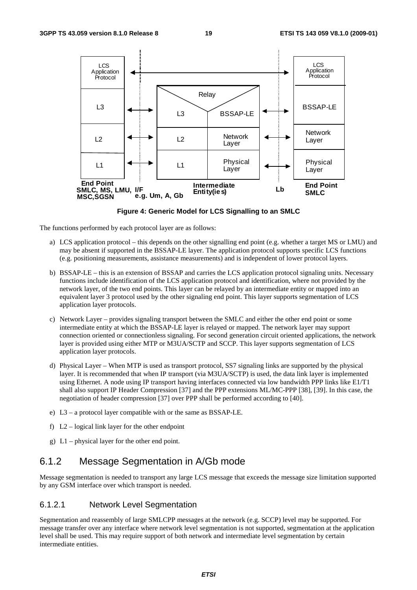

**Figure 4: Generic Model for LCS Signalling to an SMLC** 

The functions performed by each protocol layer are as follows:

- a) LCS application protocol this depends on the other signalling end point (e.g. whether a target MS or LMU) and may be absent if supported in the BSSAP-LE layer. The application protocol supports specific LCS functions (e.g. positioning measurements, assistance measurements) and is independent of lower protocol layers.
- b) BSSAP-LE this is an extension of BSSAP and carries the LCS application protocol signaling units. Necessary functions include identification of the LCS application protocol and identification, where not provided by the network layer, of the two end points. This layer can be relayed by an intermediate entity or mapped into an equivalent layer 3 protocol used by the other signaling end point. This layer supports segmentation of LCS application layer protocols.
- c) Network Layer provides signaling transport between the SMLC and either the other end point or some intermediate entity at which the BSSAP-LE layer is relayed or mapped. The network layer may support connection oriented or connectionless signaling. For second generation circuit oriented applications, the network layer is provided using either MTP or M3UA/SCTP and SCCP. This layer supports segmentation of LCS application layer protocols.
- d) Physical Layer When MTP is used as transport protocol, SS7 signaling links are supported by the physical layer. It is recommended that when IP transport (via M3UA/SCTP) is used, the data link layer is implemented using Ethernet. A node using IP transport having interfaces connected via low bandwidth PPP links like E1/T1 shall also support IP Header Compression [37] and the PPP extensions ML/MC-PPP [38], [39]. In this case, the negotiation of header compression [37] over PPP shall be performed according to [40].
- e) L3 a protocol layer compatible with or the same as BSSAP-LE.
- f)  $L2$  logical link layer for the other endpoint
- g) L1 physical layer for the other end point.

### 6.1.2 Message Segmentation in A/Gb mode

Message segmentation is needed to transport any large LCS message that exceeds the message size limitation supported by any GSM interface over which transport is needed.

#### 6.1.2.1 Network Level Segmentation

Segmentation and reassembly of large SMLCPP messages at the network (e.g. SCCP) level may be supported. For message transfer over any interface where network level segmentation is not supported, segmentation at the application level shall be used. This may require support of both network and intermediate level segmentation by certain intermediate entities.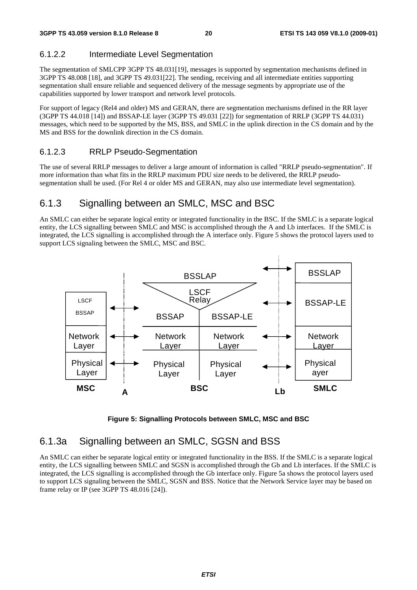### 6.1.2.2 Intermediate Level Segmentation

The segmentation of SMLCPP 3GPP TS 48.031[19], messages is supported by segmentation mechanisms defined in 3GPP TS 48.008 [18], and 3GPP TS 49.031[22]. The sending, receiving and all intermediate entities supporting segmentation shall ensure reliable and sequenced delivery of the message segments by appropriate use of the capabilities supported by lower transport and network level protocols.

For support of legacy (Rel4 and older) MS and GERAN, there are segmentation mechanisms defined in the RR layer (3GPP TS 44.018 [14]) and BSSAP-LE layer (3GPP TS 49.031 [22]) for segmentation of RRLP (3GPP TS 44.031) messages, which need to be supported by the MS, BSS, and SMLC in the uplink direction in the CS domain and by the MS and BSS for the downlink direction in the CS domain.

### 6.1.2.3 RRLP Pseudo-Segmentation

The use of several RRLP messages to deliver a large amount of information is called "RRLP pseudo-segmentation". If more information than what fits in the RRLP maximum PDU size needs to be delivered, the RRLP pseudosegmentation shall be used. (For Rel 4 or older MS and GERAN, may also use intermediate level segmentation).

## 6.1.3 Signalling between an SMLC, MSC and BSC

An SMLC can either be separate logical entity or integrated functionality in the BSC. If the SMLC is a separate logical entity, the LCS signalling between SMLC and MSC is accomplished through the A and Lb interfaces. If the SMLC is integrated, the LCS signalling is accomplished through the A interface only. Figure 5 shows the protocol layers used to support LCS signaling between the SMLC, MSC and BSC.



**Figure 5: Signalling Protocols between SMLC, MSC and BSC** 

### 6.1.3a Signalling between an SMLC, SGSN and BSS

An SMLC can either be separate logical entity or integrated functionality in the BSS. If the SMLC is a separate logical entity, the LCS signalling between SMLC and SGSN is accomplished through the Gb and Lb interfaces. If the SMLC is integrated, the LCS signalling is accomplished through the Gb interface only. Figure 5a shows the protocol layers used to support LCS signaling between the SMLC, SGSN and BSS. Notice that the Network Service layer may be based on frame relay or IP (see 3GPP TS 48.016 [24]).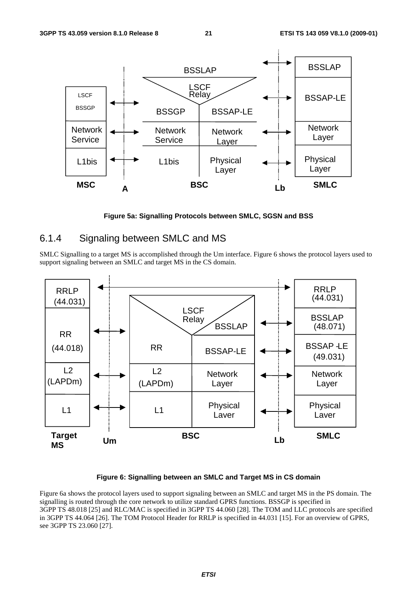

**Figure 5a: Signalling Protocols between SMLC, SGSN and BSS** 

### 6.1.4 Signaling between SMLC and MS

SMLC Signalling to a target MS is accomplished through the Um interface. Figure 6 shows the protocol layers used to support signaling between an SMLC and target MS in the CS domain.



#### **Figure 6: Signalling between an SMLC and Target MS in CS domain**

Figure 6a shows the protocol layers used to support signaling between an SMLC and target MS in the PS domain. The signalling is routed through the core network to utilize standard GPRS functions. BSSGP is specified in 3GPP TS 48.018 [25] and RLC/MAC is specified in 3GPP TS 44.060 [28]. The TOM and LLC protocols are specified in 3GPP TS 44.064 [26]. The TOM Protocol Header for RRLP is specified in 44.031 [15]. For an overview of GPRS, see 3GPP TS 23.060 [27].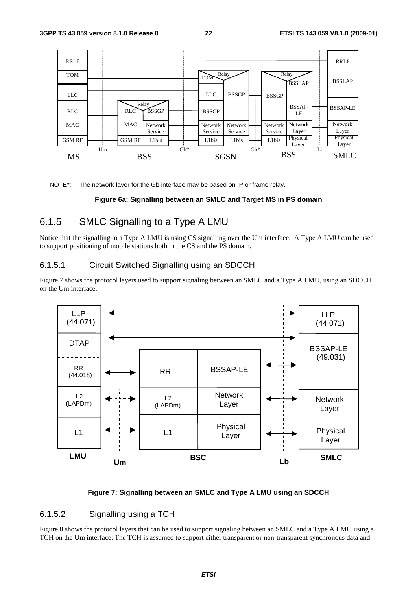

NOTE\*: The network layer for the Gb interface may be based on IP or frame relay.

#### **Figure 6a: Signalling between an SMLC and Target MS in PS domain**

### 6.1.5 SMLC Signalling to a Type A LMU

Notice that the signalling to a Type A LMU is using CS signalling over the Um interface. A Type A LMU can be used to support positioning of mobile stations both in the CS and the PS domain.

#### 6.1.5.1 Circuit Switched Signalling using an SDCCH

Figure 7 shows the protocol layers used to support signaling between an SMLC and a Type A LMU, using an SDCCH on the Um interface.



#### **Figure 7: Signalling between an SMLC and Type A LMU using an SDCCH**

#### 6.1.5.2 Signalling using a TCH

Figure 8 shows the protocol layers that can be used to support signaling between an SMLC and a Type A LMU using a TCH on the Um interface. The TCH is assumed to support either transparent or non-transparent synchronous data and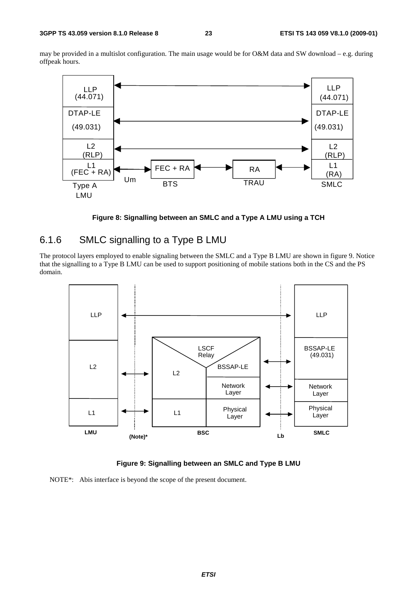may be provided in a multislot configuration. The main usage would be for O&M data and SW download – e.g. during offpeak hours.



**Figure 8: Signalling between an SMLC and a Type A LMU using a TCH** 

### 6.1.6 SMLC signalling to a Type B LMU

The protocol layers employed to enable signaling between the SMLC and a Type B LMU are shown in figure 9. Notice that the signalling to a Type B LMU can be used to support positioning of mobile stations both in the CS and the PS domain.



**Figure 9: Signalling between an SMLC and Type B LMU** 

NOTE\*: Abis interface is beyond the scope of the present document.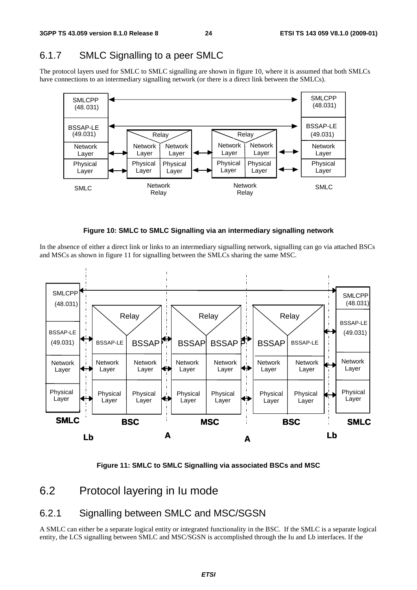## 6.1.7 SMLC Signalling to a peer SMLC

The protocol layers used for SMLC to SMLC signalling are shown in figure 10, where it is assumed that both SMLCs have connections to an intermediary signalling network (or there is a direct link between the SMLCs).





In the absence of either a direct link or links to an intermediary signalling network, signalling can go via attached BSCs and MSCs as shown in figure 11 for signalling between the SMLCs sharing the same MSC.



**Figure 11: SMLC to SMLC Signalling via associated BSCs and MSC** 

## 6.2 Protocol layering in Iu mode

### 6.2.1 Signalling between SMLC and MSC/SGSN

A SMLC can either be a separate logical entity or integrated functionality in the BSC. If the SMLC is a separate logical entity, the LCS signalling between SMLC and MSC/SGSN is accomplished through the Iu and Lb interfaces. If the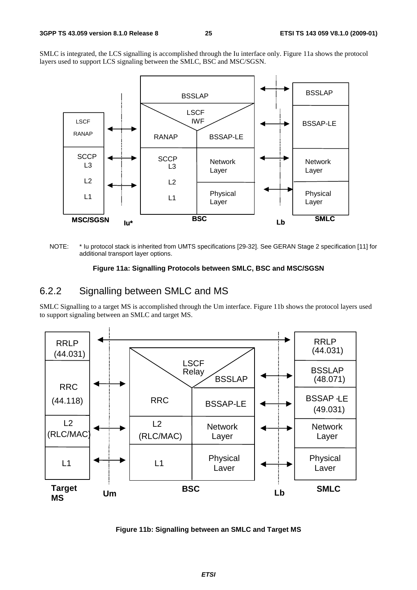SMLC is integrated, the LCS signalling is accomplished through the Iu interface only. Figure 11a shows the protocol layers used to support LCS signaling between the SMLC, BSC and MSC/SGSN.



NOTE: \* Iu protocol stack is inherited from UMTS specifications [29-32]. See GERAN Stage 2 specification [11] for additional transport layer options.

#### **Figure 11a: Signalling Protocols between SMLC, BSC and MSC/SGSN**

### 6.2.2 Signalling between SMLC and MS

SMLC Signalling to a target MS is accomplished through the Um interface. Figure 11b shows the protocol layers used to support signaling between an SMLC and target MS.



**Figure 11b: Signalling between an SMLC and Target MS**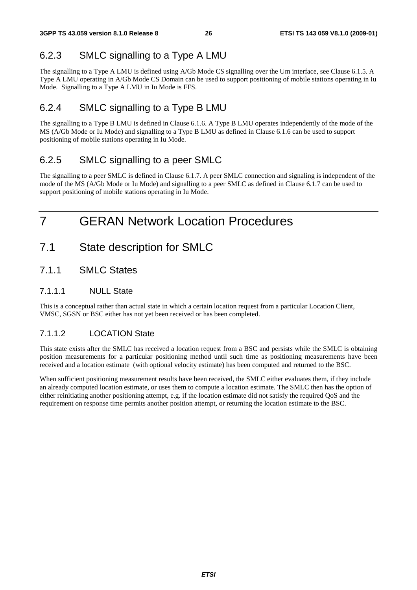## 6.2.3 SMLC signalling to a Type A LMU

The signalling to a Type A LMU is defined using A/Gb Mode CS signalling over the Um interface, see Clause 6.1.5. A Type A LMU operating in A/Gb Mode CS Domain can be used to support positioning of mobile stations operating in Iu Mode. Signalling to a Type A LMU in Iu Mode is FFS.

### 6.2.4 SMLC signalling to a Type B LMU

The signalling to a Type B LMU is defined in Clause 6.1.6. A Type B LMU operates independently of the mode of the MS (A/Gb Mode or Iu Mode) and signalling to a Type B LMU as defined in Clause 6.1.6 can be used to support positioning of mobile stations operating in Iu Mode.

### 6.2.5 SMLC signalling to a peer SMLC

The signalling to a peer SMLC is defined in Clause 6.1.7. A peer SMLC connection and signaling is independent of the mode of the MS (A/Gb Mode or Iu Mode) and signalling to a peer SMLC as defined in Clause 6.1.7 can be used to support positioning of mobile stations operating in Iu Mode.

## 7 GERAN Network Location Procedures

- 7.1 State description for SMLC
- 7.1.1 SMLC States

#### 7.1.1.1 NULL State

This is a conceptual rather than actual state in which a certain location request from a particular Location Client, VMSC, SGSN or BSC either has not yet been received or has been completed.

### 7.1.1.2 LOCATION State

This state exists after the SMLC has received a location request from a BSC and persists while the SMLC is obtaining position measurements for a particular positioning method until such time as positioning measurements have been received and a location estimate (with optional velocity estimate) has been computed and returned to the BSC.

When sufficient positioning measurement results have been received, the SMLC either evaluates them, if they include an already computed location estimate, or uses them to compute a location estimate. The SMLC then has the option of either reinitiating another positioning attempt, e.g. if the location estimate did not satisfy the required QoS and the requirement on response time permits another position attempt, or returning the location estimate to the BSC.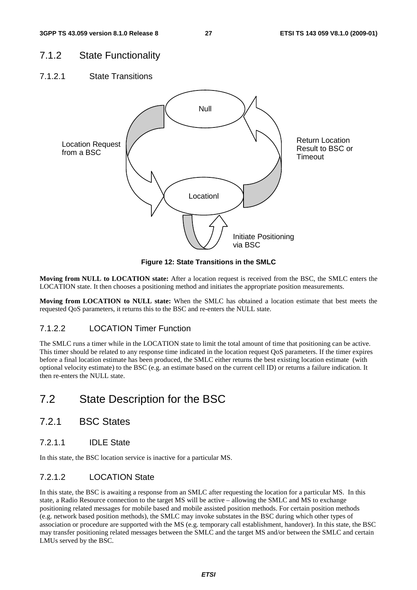### 7.1.2 State Functionality

7.1.2.1 State Transitions



**Figure 12: State Transitions in the SMLC** 

**Moving from NULL to LOCATION state:** After a location request is received from the BSC, the SMLC enters the LOCATION state. It then chooses a positioning method and initiates the appropriate position measurements.

**Moving from LOCATION to NULL state:** When the SMLC has obtained a location estimate that best meets the requested QoS parameters, it returns this to the BSC and re-enters the NULL state.

#### 7.1.2.2 LOCATION Timer Function

The SMLC runs a timer while in the LOCATION state to limit the total amount of time that positioning can be active. This timer should be related to any response time indicated in the location request QoS parameters. If the timer expires before a final location estimate has been produced, the SMLC either returns the best existing location estimate (with optional velocity estimate) to the BSC (e.g. an estimate based on the current cell ID) or returns a failure indication. It then re-enters the NULL state.

## 7.2 State Description for the BSC

- 7.2.1 BSC States
- 7.2.1.1 IDLE State

In this state, the BSC location service is inactive for a particular MS.

#### 7.2.1.2 LOCATION State

In this state, the BSC is awaiting a response from an SMLC after requesting the location for a particular MS. In this state, a Radio Resource connection to the target MS will be active – allowing the SMLC and MS to exchange positioning related messages for mobile based and mobile assisted position methods. For certain position methods (e.g. network based position methods), the SMLC may invoke substates in the BSC during which other types of association or procedure are supported with the MS (e.g. temporary call establishment, handover). In this state, the BSC may transfer positioning related messages between the SMLC and the target MS and/or between the SMLC and certain LMUs served by the BSC.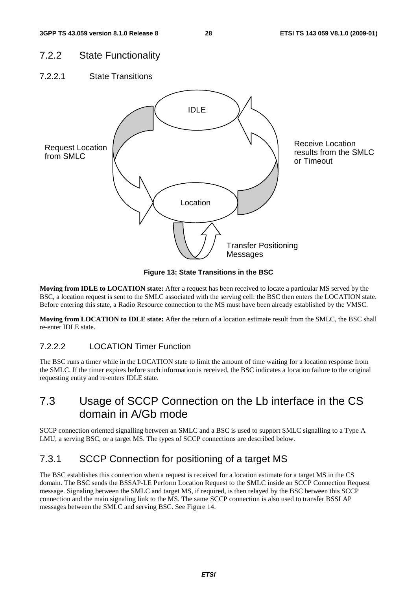### 7.2.2 State Functionality

7.2.2.1 State Transitions



**Figure 13: State Transitions in the BSC** 

**Moving from IDLE to LOCATION state:** After a request has been received to locate a particular MS served by the BSC, a location request is sent to the SMLC associated with the serving cell: the BSC then enters the LOCATION state. Before entering this state, a Radio Resource connection to the MS must have been already established by the VMSC.

**Moving from LOCATION to IDLE state:** After the return of a location estimate result from the SMLC, the BSC shall re-enter IDLE state.

### 7.2.2.2 LOCATION Timer Function

The BSC runs a timer while in the LOCATION state to limit the amount of time waiting for a location response from the SMLC. If the timer expires before such information is received, the BSC indicates a location failure to the original requesting entity and re-enters IDLE state.

## 7.3 Usage of SCCP Connection on the Lb interface in the CS domain in A/Gb mode

SCCP connection oriented signalling between an SMLC and a BSC is used to support SMLC signalling to a Type A LMU, a serving BSC, or a target MS. The types of SCCP connections are described below.

## 7.3.1 SCCP Connection for positioning of a target MS

The BSC establishes this connection when a request is received for a location estimate for a target MS in the CS domain. The BSC sends the BSSAP-LE Perform Location Request to the SMLC inside an SCCP Connection Request message. Signaling between the SMLC and target MS, if required, is then relayed by the BSC between this SCCP connection and the main signaling link to the MS. The same SCCP connection is also used to transfer BSSLAP messages between the SMLC and serving BSC. See Figure 14.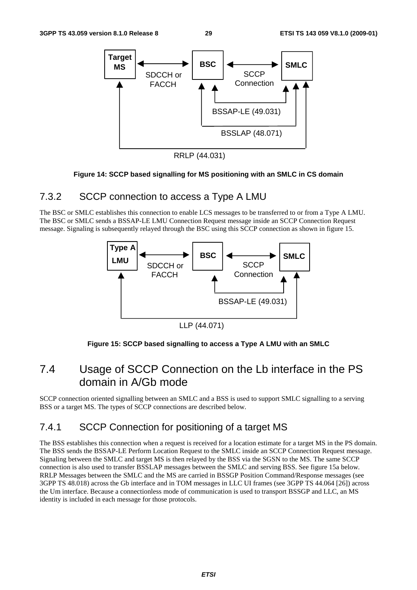

RRLP (44.031)

#### **Figure 14: SCCP based signalling for MS positioning with an SMLC in CS domain**

### 7.3.2 SCCP connection to access a Type A LMU

The BSC or SMLC establishes this connection to enable LCS messages to be transferred to or from a Type A LMU. The BSC or SMLC sends a BSSAP-LE LMU Connection Request message inside an SCCP Connection Request message. Signaling is subsequently relayed through the BSC using this SCCP connection as shown in figure 15.



LLP (44.071)



## 7.4 Usage of SCCP Connection on the Lb interface in the PS domain in A/Gb mode

SCCP connection oriented signalling between an SMLC and a BSS is used to support SMLC signalling to a serving BSS or a target MS. The types of SCCP connections are described below.

## 7.4.1 SCCP Connection for positioning of a target MS

The BSS establishes this connection when a request is received for a location estimate for a target MS in the PS domain. The BSS sends the BSSAP-LE Perform Location Request to the SMLC inside an SCCP Connection Request message. Signaling between the SMLC and target MS is then relayed by the BSS via the SGSN to the MS. The same SCCP connection is also used to transfer BSSLAP messages between the SMLC and serving BSS. See figure 15a below. RRLP Messages between the SMLC and the MS are carried in BSSGP Position Command/Response messages (see 3GPP TS 48.018) across the Gb interface and in TOM messages in LLC UI frames (see 3GPP TS 44.064 [26]) across the Um interface. Because a connectionless mode of communication is used to transport BSSGP and LLC, an MS identity is included in each message for those protocols.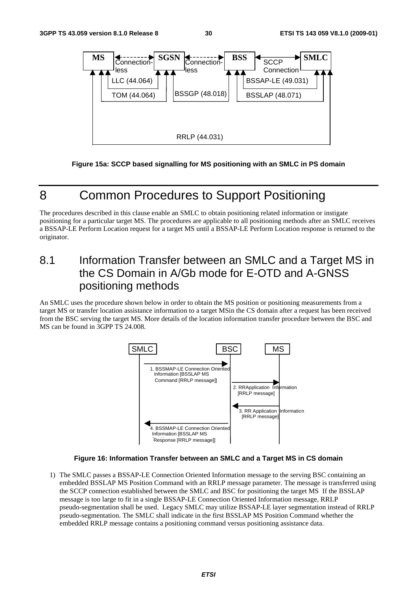

**Figure 15a: SCCP based signalling for MS positioning with an SMLC in PS domain** 

## 8 Common Procedures to Support Positioning

The procedures described in this clause enable an SMLC to obtain positioning related information or instigate positioning for a particular target MS. The procedures are applicable to all positioning methods after an SMLC receives a BSSAP-LE Perform Location request for a target MS until a BSSAP-LE Perform Location response is returned to the originator.

## 8.1 Information Transfer between an SMLC and a Target MS in the CS Domain in A/Gb mode for E-OTD and A-GNSS positioning methods

An SMLC uses the procedure shown below in order to obtain the MS position or positioning measurements from a target MS or transfer location assistance information to a target MSin the CS domain after a request has been received from the BSC serving the target MS. More details of the location information transfer procedure between the BSC and MS can be found in 3GPP TS 24.008.



#### **Figure 16: Information Transfer between an SMLC and a Target MS in CS domain**

1) The SMLC passes a BSSAP-LE Connection Oriented Information message to the serving BSC containing an embedded BSSLAP MS Position Command with an RRLP message parameter. The message is transferred using the SCCP connection established between the SMLC and BSC for positioning the target MS If the BSSLAP message is too large to fit in a single BSSAP-LE Connection Oriented Information message, RRLP pseudo-segmentation shall be used. Legacy SMLC may utilize BSSAP-LE layer segmentation instead of RRLP pseudo-segmentation. The SMLC shall indicate in the first BSSLAP MS Position Command whether the embedded RRLP message contains a positioning command versus positioning assistance data.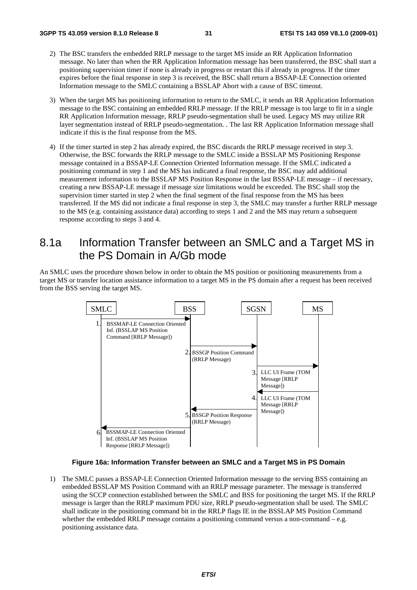- 2) The BSC transfers the embedded RRLP message to the target MS inside an RR Application Information message. No later than when the RR Application Information message has been transferred, the BSC shall start a positioning supervision timer if none is already in progress or restart this if already in progress. If the timer expires before the final response in step 3 is received, the BSC shall return a BSSAP-LE Connection oriented Information message to the SMLC containing a BSSLAP Abort with a cause of BSC timeout.
- 3) When the target MS has positioning information to return to the SMLC, it sends an RR Application Information message to the BSC containing an embedded RRLP message. If the RRLP message is too large to fit in a single RR Application Information message, RRLP pseudo-segmentation shall be used. Legacy MS may utilize RR layer segmentation instead of RRLP pseudo-segmentation. . The last RR Application Information message shall indicate if this is the final response from the MS.
- 4) If the timer started in step 2 has already expired, the BSC discards the RRLP message received in step 3. Otherwise, the BSC forwards the RRLP message to the SMLC inside a BSSLAP MS Positioning Response message contained in a BSSAP-LE Connection Oriented Information message. If the SMLC indicated a positioning command in step 1 and the MS has indicated a final response, the BSC may add additional measurement information to the BSSLAP MS Position Response in the last BSSAP-LE message – if necessary, creating a new BSSAP-LE message if message size limitations would be exceeded. The BSC shall stop the supervision timer started in step 2 when the final segment of the final response from the MS has been transferred. If the MS did not indicate a final response in step 3, the SMLC may transfer a further RRLP message to the MS (e.g. containing assistance data) according to steps 1 and 2 and the MS may return a subsequent response according to steps 3 and 4.

## 8.1a Information Transfer between an SMLC and a Target MS in the PS Domain in A/Gb mode

An SMLC uses the procedure shown below in order to obtain the MS position or positioning measurements from a target MS or transfer location assistance information to a target MS in the PS domain after a request has been received from the BSS serving the target MS.



#### **Figure 16a: Information Transfer between an SMLC and a Target MS in PS Domain**

1) The SMLC passes a BSSAP-LE Connection Oriented Information message to the serving BSS containing an embedded BSSLAP MS Position Command with an RRLP message parameter. The message is transferred using the SCCP connection established between the SMLC and BSS for positioning the target MS. If the RRLP message is larger than the RRLP maximum PDU size, RRLP pseudo-segmentation shall be used. The SMLC shall indicate in the positioning command bit in the RRLP flags IE in the BSSLAP MS Position Command whether the embedded RRLP message contains a positioning command versus a non-command  $-e.g.$ positioning assistance data.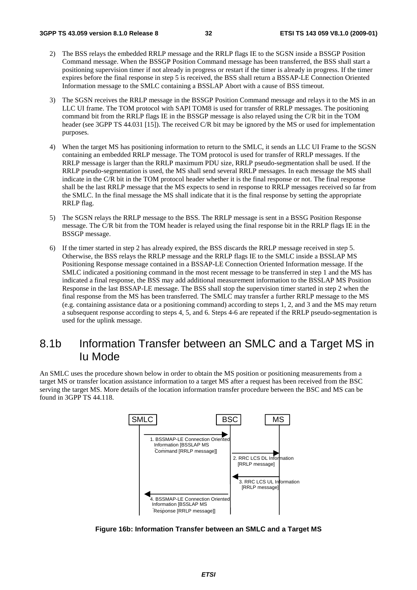- 2) The BSS relays the embedded RRLP message and the RRLP flags IE to the SGSN inside a BSSGP Position Command message. When the BSSGP Position Command message has been transferred, the BSS shall start a positioning supervision timer if not already in progress or restart if the timer is already in progress. If the timer expires before the final response in step 5 is received, the BSS shall return a BSSAP-LE Connection Oriented Information message to the SMLC containing a BSSLAP Abort with a cause of BSS timeout.
- 3) The SGSN receives the RRLP message in the BSSGP Position Command message and relays it to the MS in an LLC UI frame. The TOM protocol with SAPI TOM8 is used for transfer of RRLP messages. The positioning command bit from the RRLP flags IE in the BSSGP message is also relayed using the C/R bit in the TOM header (see 3GPP TS 44.031 [15]). The received C/R bit may be ignored by the MS or used for implementation purposes.
- 4) When the target MS has positioning information to return to the SMLC, it sends an LLC UI Frame to the SGSN containing an embedded RRLP message. The TOM protocol is used for transfer of RRLP messages. If the RRLP message is larger than the RRLP maximum PDU size, RRLP pseudo-segmentation shall be used. If the RRLP pseudo-segmentation is used, the MS shall send several RRLP messages. In each message the MS shall indicate in the C/R bit in the TOM protocol header whether it is the final response or not. The final response shall be the last RRLP message that the MS expects to send in response to RRLP messages received so far from the SMLC. In the final message the MS shall indicate that it is the final response by setting the appropriate RRLP flag.
- 5) The SGSN relays the RRLP message to the BSS. The RRLP message is sent in a BSSG Position Response message. The C/R bit from the TOM header is relayed using the final response bit in the RRLP flags IE in the BSSGP message.
- 6) If the timer started in step 2 has already expired, the BSS discards the RRLP message received in step 5. Otherwise, the BSS relays the RRLP message and the RRLP flags IE to the SMLC inside a BSSLAP MS Positioning Response message contained in a BSSAP-LE Connection Oriented Information message. If the SMLC indicated a positioning command in the most recent message to be transferred in step 1 and the MS has indicated a final response, the BSS may add additional measurement information to the BSSLAP MS Position Response in the last BSSAP-LE message. The BSS shall stop the supervision timer started in step 2 when the final response from the MS has been transferred. The SMLC may transfer a further RRLP message to the MS (e.g. containing assistance data or a positioning command) according to steps 1, 2, and 3 and the MS may return a subsequent response according to steps 4, 5, and 6. Steps 4-6 are repeated if the RRLP pseudo-segmentation is used for the uplink message.

## 8.1b Information Transfer between an SMLC and a Target MS in Iu Mode

An SMLC uses the procedure shown below in order to obtain the MS position or positioning measurements from a target MS or transfer location assistance information to a target MS after a request has been received from the BSC serving the target MS. More details of the location information transfer procedure between the BSC and MS can be found in 3GPP TS 44.118.



**Figure 16b: Information Transfer between an SMLC and a Target MS**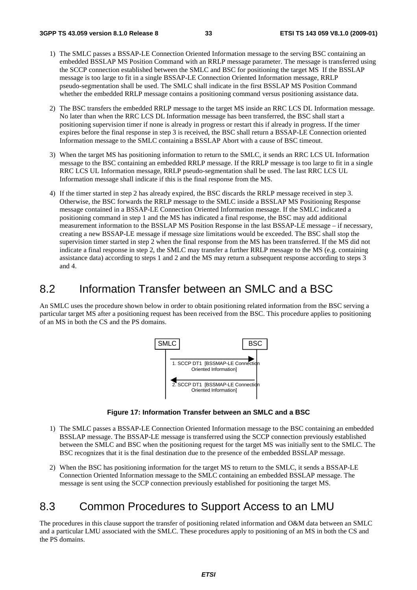- 1) The SMLC passes a BSSAP-LE Connection Oriented Information message to the serving BSC containing an embedded BSSLAP MS Position Command with an RRLP message parameter. The message is transferred using the SCCP connection established between the SMLC and BSC for positioning the target MS If the BSSLAP message is too large to fit in a single BSSAP-LE Connection Oriented Information message, RRLP pseudo-segmentation shall be used. The SMLC shall indicate in the first BSSLAP MS Position Command whether the embedded RRLP message contains a positioning command versus positioning assistance data.
- 2) The BSC transfers the embedded RRLP message to the target MS inside an RRC LCS DL Information message. No later than when the RRC LCS DL Information message has been transferred, the BSC shall start a positioning supervision timer if none is already in progress or restart this if already in progress. If the timer expires before the final response in step 3 is received, the BSC shall return a BSSAP-LE Connection oriented Information message to the SMLC containing a BSSLAP Abort with a cause of BSC timeout.
- 3) When the target MS has positioning information to return to the SMLC, it sends an RRC LCS UL Information message to the BSC containing an embedded RRLP message. If the RRLP message is too large to fit in a single RRC LCS UL Information message, RRLP pseudo-segmentation shall be used. The last RRC LCS UL Information message shall indicate if this is the final response from the MS.
- 4) If the timer started in step 2 has already expired, the BSC discards the RRLP message received in step 3. Otherwise, the BSC forwards the RRLP message to the SMLC inside a BSSLAP MS Positioning Response message contained in a BSSAP-LE Connection Oriented Information message. If the SMLC indicated a positioning command in step 1 and the MS has indicated a final response, the BSC may add additional measurement information to the BSSLAP MS Position Response in the last BSSAP-LE message – if necessary, creating a new BSSAP-LE message if message size limitations would be exceeded. The BSC shall stop the supervision timer started in step 2 when the final response from the MS has been transferred. If the MS did not indicate a final response in step 2, the SMLC may transfer a further RRLP message to the MS (e.g. containing assistance data) according to steps 1 and 2 and the MS may return a subsequent response according to steps 3 and 4.

### 8.2 Information Transfer between an SMLC and a BSC

An SMLC uses the procedure shown below in order to obtain positioning related information from the BSC serving a particular target MS after a positioning request has been received from the BSC. This procedure applies to positioning of an MS in both the CS and the PS domains.



**Figure 17: Information Transfer between an SMLC and a BSC** 

- 1) The SMLC passes a BSSAP-LE Connection Oriented Information message to the BSC containing an embedded BSSLAP message. The BSSAP-LE message is transferred using the SCCP connection previously established between the SMLC and BSC when the positioning request for the target MS was initially sent to the SMLC. The BSC recognizes that it is the final destination due to the presence of the embedded BSSLAP message.
- 2) When the BSC has positioning information for the target MS to return to the SMLC, it sends a BSSAP-LE Connection Oriented Information message to the SMLC containing an embedded BSSLAP message. The message is sent using the SCCP connection previously established for positioning the target MS.

## 8.3 Common Procedures to Support Access to an LMU

The procedures in this clause support the transfer of positioning related information and O&M data between an SMLC and a particular LMU associated with the SMLC. These procedures apply to positioning of an MS in both the CS and the PS domains.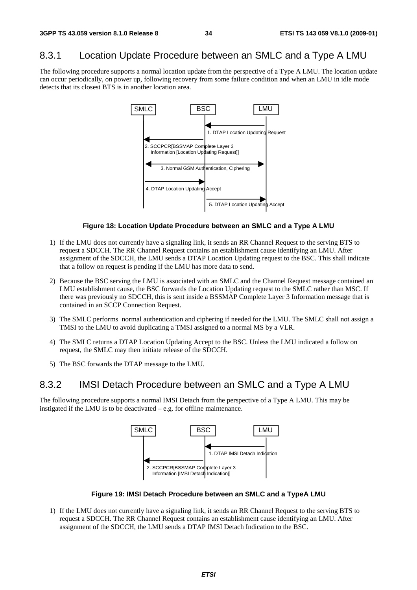### 8.3.1 Location Update Procedure between an SMLC and a Type A LMU

The following procedure supports a normal location update from the perspective of a Type A LMU. The location update can occur periodically, on power up, following recovery from some failure condition and when an LMU in idle mode detects that its closest BTS is in another location area.



#### **Figure 18: Location Update Procedure between an SMLC and a Type A LMU**

- 1) If the LMU does not currently have a signaling link, it sends an RR Channel Request to the serving BTS to request a SDCCH. The RR Channel Request contains an establishment cause identifying an LMU. After assignment of the SDCCH, the LMU sends a DTAP Location Updating request to the BSC. This shall indicate that a follow on request is pending if the LMU has more data to send.
- 2) Because the BSC serving the LMU is associated with an SMLC and the Channel Request message contained an LMU establishment cause, the BSC forwards the Location Updating request to the SMLC rather than MSC. If there was previously no SDCCH, this is sent inside a BSSMAP Complete Layer 3 Information message that is contained in an SCCP Connection Request.
- 3) The SMLC performs normal authentication and ciphering if needed for the LMU. The SMLC shall not assign a TMSI to the LMU to avoid duplicating a TMSI assigned to a normal MS by a VLR.
- 4) The SMLC returns a DTAP Location Updating Accept to the BSC. Unless the LMU indicated a follow on request, the SMLC may then initiate release of the SDCCH.
- 5) The BSC forwards the DTAP message to the LMU.

### 8.3.2 IMSI Detach Procedure between an SMLC and a Type A LMU

The following procedure supports a normal IMSI Detach from the perspective of a Type A LMU. This may be instigated if the LMU is to be deactivated – e.g. for offline maintenance.



**Figure 19: IMSI Detach Procedure between an SMLC and a TypeA LMU** 

1) If the LMU does not currently have a signaling link, it sends an RR Channel Request to the serving BTS to request a SDCCH. The RR Channel Request contains an establishment cause identifying an LMU. After assignment of the SDCCH, the LMU sends a DTAP IMSI Detach Indication to the BSC.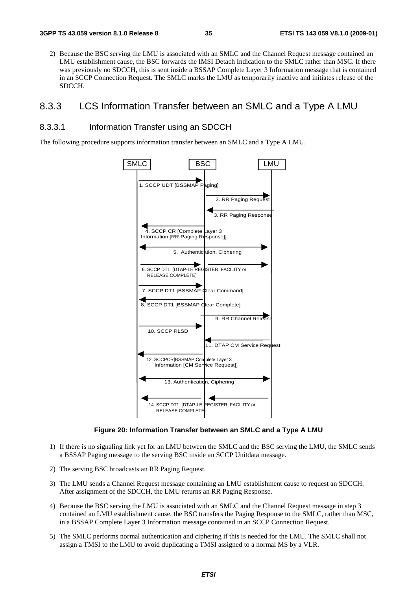2) Because the BSC serving the LMU is associated with an SMLC and the Channel Request message contained an LMU establishment cause, the BSC forwards the IMSI Detach Indication to the SMLC rather than MSC. If there was previously no SDCCH, this is sent inside a BSSAP Complete Layer 3 Information message that is contained in an SCCP Connection Request. The SMLC marks the LMU as temporarily inactive and initiates release of the SDCCH.

#### 8.3.3 LCS Information Transfer between an SMLC and a Type A LMU

#### 8.3.3.1 Information Transfer using an SDCCH

The following procedure supports information transfer between an SMLC and a Type A LMU.



**Figure 20: Information Transfer between an SMLC and a Type A LMU** 

- 1) If there is no signaling link yet for an LMU between the SMLC and the BSC serving the LMU, the SMLC sends a BSSAP Paging message to the serving BSC inside an SCCP Unitdata message.
- 2) The serving BSC broadcasts an RR Paging Request.
- 3) The LMU sends a Channel Request message containing an LMU establishment cause to request an SDCCH. After assignment of the SDCCH, the LMU returns an RR Paging Response.
- 4) Because the BSC serving the LMU is associated with an SMLC and the Channel Request message in step 3 contained an LMU establishment cause, the BSC transfers the Paging Response to the SMLC, rather than MSC, in a BSSAP Complete Layer 3 Information message contained in an SCCP Connection Request.
- 5) The SMLC performs normal authentication and ciphering if this is needed for the LMU. The SMLC shall not assign a TMSI to the LMU to avoid duplicating a TMSI assigned to a normal MS by a VLR.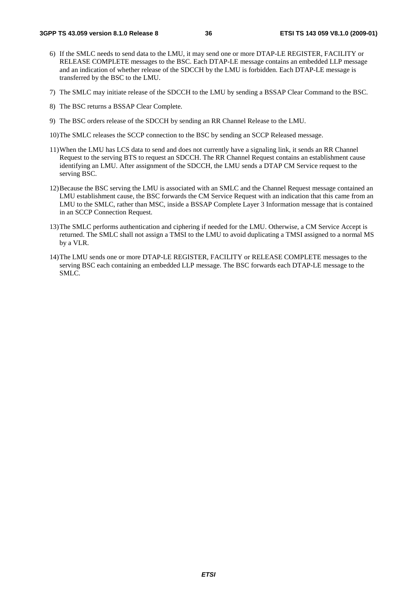- 6) If the SMLC needs to send data to the LMU, it may send one or more DTAP-LE REGISTER, FACILITY or RELEASE COMPLETE messages to the BSC. Each DTAP-LE message contains an embedded LLP message and an indication of whether release of the SDCCH by the LMU is forbidden. Each DTAP-LE message is transferred by the BSC to the LMU.
- 7) The SMLC may initiate release of the SDCCH to the LMU by sending a BSSAP Clear Command to the BSC.
- 8) The BSC returns a BSSAP Clear Complete.
- 9) The BSC orders release of the SDCCH by sending an RR Channel Release to the LMU.
- 10) The SMLC releases the SCCP connection to the BSC by sending an SCCP Released message.
- 11) When the LMU has LCS data to send and does not currently have a signaling link, it sends an RR Channel Request to the serving BTS to request an SDCCH. The RR Channel Request contains an establishment cause identifying an LMU. After assignment of the SDCCH, the LMU sends a DTAP CM Service request to the serving BSC.
- 12) Because the BSC serving the LMU is associated with an SMLC and the Channel Request message contained an LMU establishment cause, the BSC forwards the CM Service Request with an indication that this came from an LMU to the SMLC, rather than MSC, inside a BSSAP Complete Layer 3 Information message that is contained in an SCCP Connection Request.
- 13) The SMLC performs authentication and ciphering if needed for the LMU. Otherwise, a CM Service Accept is returned. The SMLC shall not assign a TMSI to the LMU to avoid duplicating a TMSI assigned to a normal MS by a VLR.
- 14) The LMU sends one or more DTAP-LE REGISTER, FACILITY or RELEASE COMPLETE messages to the serving BSC each containing an embedded LLP message. The BSC forwards each DTAP-LE message to the SMLC.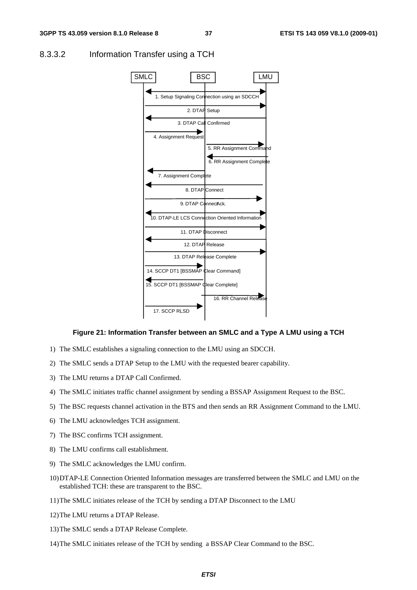

#### 8.3.3.2 Information Transfer using a TCH

#### **Figure 21: Information Transfer between an SMLC and a Type A LMU using a TCH**

- 1) The SMLC establishes a signaling connection to the LMU using an SDCCH.
- 2) The SMLC sends a DTAP Setup to the LMU with the requested bearer capability.
- 3) The LMU returns a DTAP Call Confirmed.
- 4) The SMLC initiates traffic channel assignment by sending a BSSAP Assignment Request to the BSC.
- 5) The BSC requests channel activation in the BTS and then sends an RR Assignment Command to the LMU.
- 6) The LMU acknowledges TCH assignment.
- 7) The BSC confirms TCH assignment.
- 8) The LMU confirms call establishment.
- 9) The SMLC acknowledges the LMU confirm.
- 10) DTAP-LE Connection Oriented Information messages are transferred between the SMLC and LMU on the established TCH: these are transparent to the BSC.
- 11) The SMLC initiates release of the TCH by sending a DTAP Disconnect to the LMU
- 12) The LMU returns a DTAP Release.
- 13) The SMLC sends a DTAP Release Complete.
- 14) The SMLC initiates release of the TCH by sending a BSSAP Clear Command to the BSC.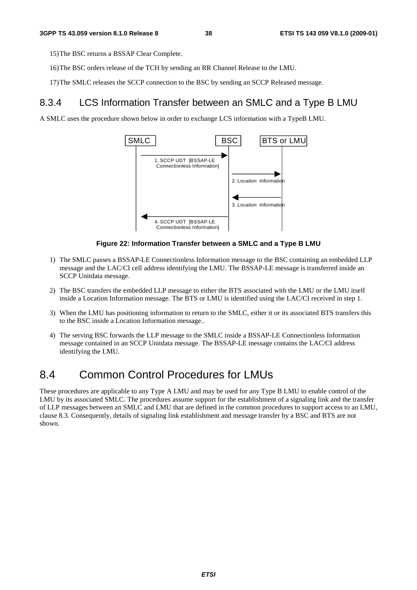15) The BSC returns a BSSAP Clear Complete.

- 16) The BSC orders release of the TCH by sending an RR Channel Release to the LMU.
- 17) The SMLC releases the SCCP connection to the BSC by sending an SCCP Released message.

### 8.3.4 LCS Information Transfer between an SMLC and a Type B LMU

A SMLC uses the procedure shown below in order to exchange LCS information with a TypeB LMU.



#### **Figure 22: Information Transfer between a SMLC and a Type B LMU**

- 1) The SMLC passes a BSSAP-LE Connectionless Information message to the BSC containing an embedded LLP message and the LAC/CI cell address identifying the LMU. The BSSAP-LE message is transferred inside an SCCP Unitdata message.
- 2) The BSC transfers the embedded LLP message to either the BTS associated with the LMU or the LMU itself inside a Location Information message. The BTS or LMU is identified using the LAC/CI received in step 1.
- 3) When the LMU has positioning information to return to the SMLC, either it or its associated BTS transfers this to the BSC inside a Location Information message..
- 4) The serving BSC forwards the LLP message to the SMLC inside a BSSAP-LE Connectionless Information message contained in an SCCP Unitdata message. The BSSAP-LE message contains the LAC/CI address identifying the LMU.

## 8.4 Common Control Procedures for LMUs

These procedures are applicable to any Type A LMU and may be used for any Type B LMU to enable control of the LMU by its associated SMLC. The procedures assume support for the establishment of a signaling link and the transfer of LLP messages between an SMLC and LMU that are defined in the common procedures to support access to an LMU, clause 8.3. Consequently, details of signaling link establishment and message transfer by a BSC and BTS are not shown.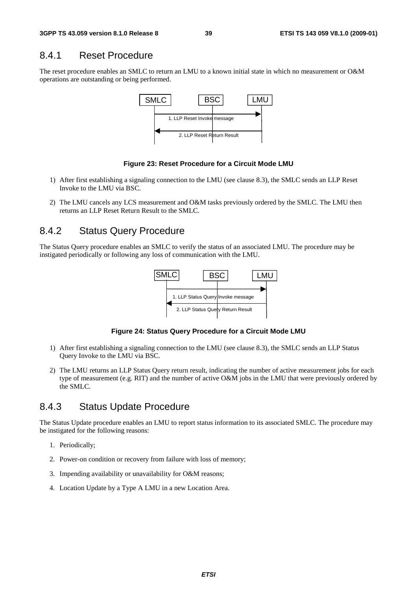#### 8.4.1 Reset Procedure

The reset procedure enables an SMLC to return an LMU to a known initial state in which no measurement or O&M operations are outstanding or being performed.



#### **Figure 23: Reset Procedure for a Circuit Mode LMU**

- 1) After first establishing a signaling connection to the LMU (see clause 8.3), the SMLC sends an LLP Reset Invoke to the LMU via BSC.
- 2) The LMU cancels any LCS measurement and O&M tasks previously ordered by the SMLC. The LMU then returns an LLP Reset Return Result to the SMLC.

#### 8.4.2 Status Query Procedure

The Status Query procedure enables an SMLC to verify the status of an associated LMU. The procedure may be instigated periodically or following any loss of communication with the LMU.



**Figure 24: Status Query Procedure for a Circuit Mode LMU** 

- 1) After first establishing a signaling connection to the LMU (see clause 8.3), the SMLC sends an LLP Status Query Invoke to the LMU via BSC.
- 2) The LMU returns an LLP Status Query return result, indicating the number of active measurement jobs for each type of measurement (e.g. RIT) and the number of active O&M jobs in the LMU that were previously ordered by the SMLC.

#### 8.4.3 Status Update Procedure

The Status Update procedure enables an LMU to report status information to its associated SMLC. The procedure may be instigated for the following reasons:

- 1. Periodically;
- 2. Power-on condition or recovery from failure with loss of memory;
- 3. Impending availability or unavailability for O&M reasons;
- 4. Location Update by a Type A LMU in a new Location Area.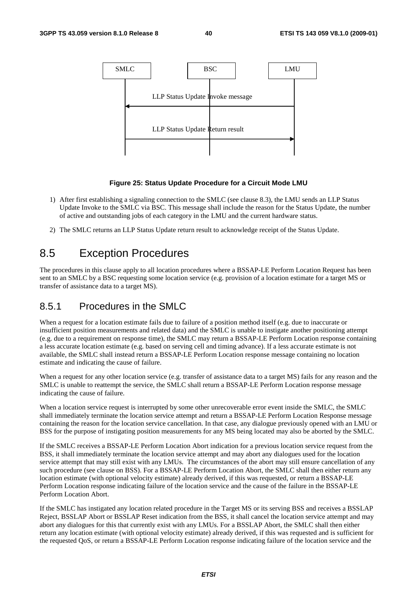

#### **Figure 25: Status Update Procedure for a Circuit Mode LMU**

- 1) After first establishing a signaling connection to the SMLC (see clause 8.3), the LMU sends an LLP Status Update Invoke to the SMLC via BSC. This message shall include the reason for the Status Update, the number of active and outstanding jobs of each category in the LMU and the current hardware status.
- 2) The SMLC returns an LLP Status Update return result to acknowledge receipt of the Status Update.

## 8.5 Exception Procedures

The procedures in this clause apply to all location procedures where a BSSAP-LE Perform Location Request has been sent to an SMLC by a BSC requesting some location service (e.g. provision of a location estimate for a target MS or transfer of assistance data to a target MS).

### 8.5.1 Procedures in the SMLC

When a request for a location estimate fails due to failure of a position method itself (e.g. due to inaccurate or insufficient position measurements and related data) and the SMLC is unable to instigate another positioning attempt (e.g. due to a requirement on response time), the SMLC may return a BSSAP-LE Perform Location response containing a less accurate location estimate (e.g. based on serving cell and timing advance). If a less accurate estimate is not available, the SMLC shall instead return a BSSAP-LE Perform Location response message containing no location estimate and indicating the cause of failure.

When a request for any other location service (e.g. transfer of assistance data to a target MS) fails for any reason and the SMLC is unable to reattempt the service, the SMLC shall return a BSSAP-LE Perform Location response message indicating the cause of failure.

When a location service request is interrupted by some other unrecoverable error event inside the SMLC, the SMLC shall immediately terminate the location service attempt and return a BSSAP-LE Perform Location Response message containing the reason for the location service cancellation. In that case, any dialogue previously opened with an LMU or BSS for the purpose of instigating position measurements for any MS being located may also be aborted by the SMLC.

If the SMLC receives a BSSAP-LE Perform Location Abort indication for a previous location service request from the BSS, it shall immediately terminate the location service attempt and may abort any dialogues used for the location service attempt that may still exist with any LMUs. The circumstances of the abort may still ensure cancellation of any such procedure (see clause on BSS). For a BSSAP-LE Perform Location Abort, the SMLC shall then either return any location estimate (with optional velocity estimate) already derived, if this was requested, or return a BSSAP-LE Perform Location response indicating failure of the location service and the cause of the failure in the BSSAP-LE Perform Location Abort.

If the SMLC has instigated any location related procedure in the Target MS or its serving BSS and receives a BSSLAP Reject, BSSLAP Abort or BSSLAP Reset indication from the BSS, it shall cancel the location service attempt and may abort any dialogues for this that currently exist with any LMUs. For a BSSLAP Abort, the SMLC shall then either return any location estimate (with optional velocity estimate) already derived, if this was requested and is sufficient for the requested QoS, or return a BSSAP-LE Perform Location response indicating failure of the location service and the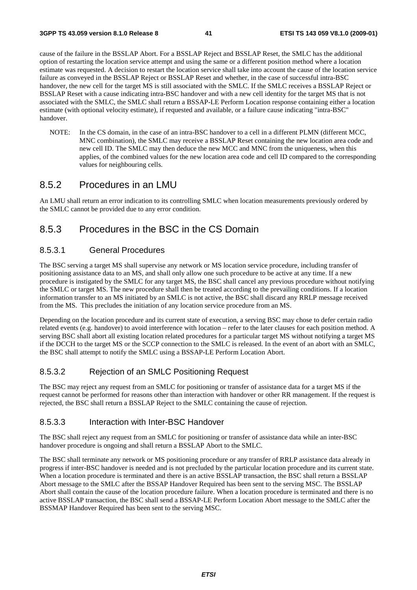cause of the failure in the BSSLAP Abort. For a BSSLAP Reject and BSSLAP Reset, the SMLC has the additional option of restarting the location service attempt and using the same or a different position method where a location estimate was requested. A decision to restart the location service shall take into account the cause of the location service failure as conveyed in the BSSLAP Reject or BSSLAP Reset and whether, in the case of successful intra-BSC handover, the new cell for the target MS is still associated with the SMLC. If the SMLC receives a BSSLAP Reject or BSSLAP Reset with a cause indicating intra-BSC handover and with a new cell identity for the target MS that is not associated with the SMLC, the SMLC shall return a BSSAP-LE Perform Location response containing either a location estimate (with optional velocity estimate), if requested and available, or a failure cause indicating "intra-BSC" handover.

NOTE: In the CS domain, in the case of an intra-BSC handover to a cell in a different PLMN (different MCC, MNC combination), the SMLC may receive a BSSLAP Reset containing the new location area code and new cell ID. The SMLC may then deduce the new MCC and MNC from the uniqueness, when this applies, of the combined values for the new location area code and cell ID compared to the corresponding values for neighbouring cells.

#### 8.5.2 Procedures in an LMU

An LMU shall return an error indication to its controlling SMLC when location measurements previously ordered by the SMLC cannot be provided due to any error condition.

### 8.5.3 Procedures in the BSC in the CS Domain

#### 8.5.3.1 General Procedures

The BSC serving a target MS shall supervise any network or MS location service procedure, including transfer of positioning assistance data to an MS, and shall only allow one such procedure to be active at any time. If a new procedure is instigated by the SMLC for any target MS, the BSC shall cancel any previous procedure without notifying the SMLC or target MS. The new procedure shall then be treated according to the prevailing conditions. If a location information transfer to an MS initiated by an SMLC is not active, the BSC shall discard any RRLP message received from the MS. This precludes the initiation of any location service procedure from an MS.

Depending on the location procedure and its current state of execution, a serving BSC may chose to defer certain radio related events (e.g. handover) to avoid interference with location – refer to the later clauses for each position method. A serving BSC shall abort all existing location related procedures for a particular target MS without notifying a target MS if the DCCH to the target MS or the SCCP connection to the SMLC is released. In the event of an abort with an SMLC, the BSC shall attempt to notify the SMLC using a BSSAP-LE Perform Location Abort.

#### 8.5.3.2 Rejection of an SMLC Positioning Request

The BSC may reject any request from an SMLC for positioning or transfer of assistance data for a target MS if the request cannot be performed for reasons other than interaction with handover or other RR management. If the request is rejected, the BSC shall return a BSSLAP Reject to the SMLC containing the cause of rejection.

#### 8.5.3.3 Interaction with Inter-BSC Handover

The BSC shall reject any request from an SMLC for positioning or transfer of assistance data while an inter-BSC handover procedure is ongoing and shall return a BSSLAP Abort to the SMLC.

The BSC shall terminate any network or MS positioning procedure or any transfer of RRLP assistance data already in progress if inter-BSC handover is needed and is not precluded by the particular location procedure and its current state. When a location procedure is terminated and there is an active BSSLAP transaction, the BSC shall return a BSSLAP Abort message to the SMLC after the BSSAP Handover Required has been sent to the serving MSC. The BSSLAP Abort shall contain the cause of the location procedure failure. When a location procedure is terminated and there is no active BSSLAP transaction, the BSC shall send a BSSAP-LE Perform Location Abort message to the SMLC after the BSSMAP Handover Required has been sent to the serving MSC.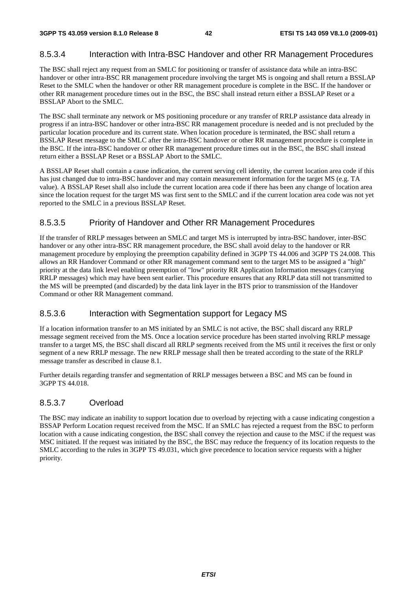#### 8.5.3.4 Interaction with Intra-BSC Handover and other RR Management Procedures

The BSC shall reject any request from an SMLC for positioning or transfer of assistance data while an intra-BSC handover or other intra-BSC RR management procedure involving the target MS is ongoing and shall return a BSSLAP Reset to the SMLC when the handover or other RR management procedure is complete in the BSC. If the handover or other RR management procedure times out in the BSC, the BSC shall instead return either a BSSLAP Reset or a BSSLAP Abort to the SMLC.

The BSC shall terminate any network or MS positioning procedure or any transfer of RRLP assistance data already in progress if an intra-BSC handover or other intra-BSC RR management procedure is needed and is not precluded by the particular location procedure and its current state. When location procedure is terminated, the BSC shall return a BSSLAP Reset message to the SMLC after the intra-BSC handover or other RR management procedure is complete in the BSC. If the intra-BSC handover or other RR management procedure times out in the BSC, the BSC shall instead return either a BSSLAP Reset or a BSSLAP Abort to the SMLC.

A BSSLAP Reset shall contain a cause indication, the current serving cell identity, the current location area code if this has just changed due to intra-BSC handover and may contain measurement information for the target MS (e.g. TA value). A BSSLAP Reset shall also include the current location area code if there has been any change of location area since the location request for the target MS was first sent to the SMLC and if the current location area code was not yet reported to the SMLC in a previous BSSLAP Reset.

#### 8.5.3.5 Priority of Handover and Other RR Management Procedures

If the transfer of RRLP messages between an SMLC and target MS is interrupted by intra-BSC handover, inter-BSC handover or any other intra-BSC RR management procedure, the BSC shall avoid delay to the handover or RR management procedure by employing the preemption capability defined in 3GPP TS 44.006 and 3GPP TS 24.008. This allows an RR Handover Command or other RR management command sent to the target MS to be assigned a "high" priority at the data link level enabling preemption of "low" priority RR Application Information messages (carrying RRLP messages) which may have been sent earlier. This procedure ensures that any RRLP data still not transmitted to the MS will be preempted (and discarded) by the data link layer in the BTS prior to transmission of the Handover Command or other RR Management command.

#### 8.5.3.6 Interaction with Segmentation support for Legacy MS

If a location information transfer to an MS initiated by an SMLC is not active, the BSC shall discard any RRLP message segment received from the MS. Once a location service procedure has been started involving RRLP message transfer to a target MS, the BSC shall discard all RRLP segments received from the MS until it receives the first or only segment of a new RRLP message. The new RRLP message shall then be treated according to the state of the RRLP message transfer as described in clause 8.1.

Further details regarding transfer and segmentation of RRLP messages between a BSC and MS can be found in 3GPP TS 44.018.

#### 8.5.3.7 Overload

The BSC may indicate an inability to support location due to overload by rejecting with a cause indicating congestion a BSSAP Perform Location request received from the MSC. If an SMLC has rejected a request from the BSC to perform location with a cause indicating congestion, the BSC shall convey the rejection and cause to the MSC if the request was MSC initiated. If the request was initiated by the BSC, the BSC may reduce the frequency of its location requests to the SMLC according to the rules in 3GPP TS 49.031, which give precedence to location service requests with a higher priority.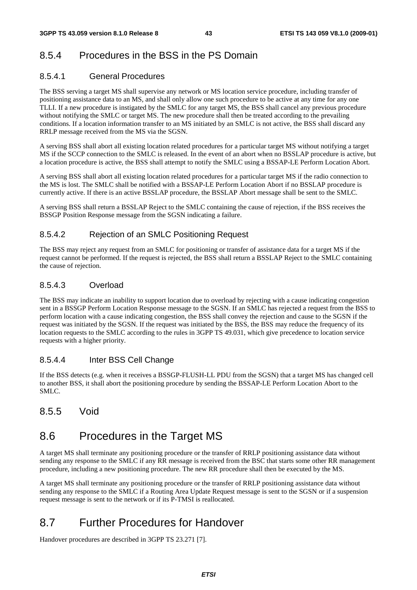## 8.5.4 Procedures in the BSS in the PS Domain

#### 8.5.4.1 General Procedures

The BSS serving a target MS shall supervise any network or MS location service procedure, including transfer of positioning assistance data to an MS, and shall only allow one such procedure to be active at any time for any one TLLI. If a new procedure is instigated by the SMLC for any target MS, the BSS shall cancel any previous procedure without notifying the SMLC or target MS. The new procedure shall then be treated according to the prevailing conditions. If a location information transfer to an MS initiated by an SMLC is not active, the BSS shall discard any RRLP message received from the MS via the SGSN.

A serving BSS shall abort all existing location related procedures for a particular target MS without notifying a target MS if the SCCP connection to the SMLC is released. In the event of an abort when no BSSLAP procedure is active, but a location procedure is active, the BSS shall attempt to notify the SMLC using a BSSAP-LE Perform Location Abort.

A serving BSS shall abort all existing location related procedures for a particular target MS if the radio connection to the MS is lost. The SMLC shall be notified with a BSSAP-LE Perform Location Abort if no BSSLAP procedure is currently active. If there is an active BSSLAP procedure, the BSSLAP Abort message shall be sent to the SMLC.

A serving BSS shall return a BSSLAP Reject to the SMLC containing the cause of rejection, if the BSS receives the BSSGP Position Response message from the SGSN indicating a failure.

#### 8.5.4.2 Rejection of an SMLC Positioning Request

The BSS may reject any request from an SMLC for positioning or transfer of assistance data for a target MS if the request cannot be performed. If the request is rejected, the BSS shall return a BSSLAP Reject to the SMLC containing the cause of rejection.

#### 8.5.4.3 Overload

The BSS may indicate an inability to support location due to overload by rejecting with a cause indicating congestion sent in a BSSGP Perform Location Response message to the SGSN. If an SMLC has rejected a request from the BSS to perform location with a cause indicating congestion, the BSS shall convey the rejection and cause to the SGSN if the request was initiated by the SGSN. If the request was initiated by the BSS, the BSS may reduce the frequency of its location requests to the SMLC according to the rules in 3GPP TS 49.031, which give precedence to location service requests with a higher priority.

#### 8.5.4.4 Inter BSS Cell Change

If the BSS detects (e.g. when it receives a BSSGP-FLUSH-LL PDU from the SGSN) that a target MS has changed cell to another BSS, it shall abort the positioning procedure by sending the BSSAP-LE Perform Location Abort to the SMLC.

### 8.5.5 Void

## 8.6 Procedures in the Target MS

A target MS shall terminate any positioning procedure or the transfer of RRLP positioning assistance data without sending any response to the SMLC if any RR message is received from the BSC that starts some other RR management procedure, including a new positioning procedure. The new RR procedure shall then be executed by the MS.

A target MS shall terminate any positioning procedure or the transfer of RRLP positioning assistance data without sending any response to the SMLC if a Routing Area Update Request message is sent to the SGSN or if a suspension request message is sent to the network or if its P-TMSI is reallocated.

## 8.7 Further Procedures for Handover

Handover procedures are described in 3GPP TS 23.271 [7].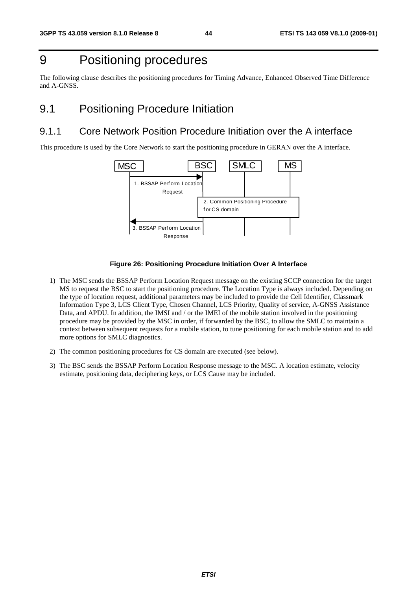## 9 Positioning procedures

The following clause describes the positioning procedures for Timing Advance, Enhanced Observed Time Difference and A-GNSS.

## 9.1 Positioning Procedure Initiation

### 9.1.1 Core Network Position Procedure Initiation over the A interface

This procedure is used by the Core Network to start the positioning procedure in GERAN over the A interface.



#### **Figure 26: Positioning Procedure Initiation Over A Interface**

- 1) The MSC sends the BSSAP Perform Location Request message on the existing SCCP connection for the target MS to request the BSC to start the positioning procedure. The Location Type is always included. Depending on the type of location request, additional parameters may be included to provide the Cell Identifier, Classmark Information Type 3, LCS Client Type, Chosen Channel, LCS Priority, Quality of service, A-GNSS Assistance Data, and APDU. In addition, the IMSI and / or the IMEI of the mobile station involved in the positioning procedure may be provided by the MSC in order, if forwarded by the BSC, to allow the SMLC to maintain a context between subsequent requests for a mobile station, to tune positioning for each mobile station and to add more options for SMLC diagnostics.
- 2) The common positioning procedures for CS domain are executed (see below).
- 3) The BSC sends the BSSAP Perform Location Response message to the MSC. A location estimate, velocity estimate, positioning data, deciphering keys, or LCS Cause may be included.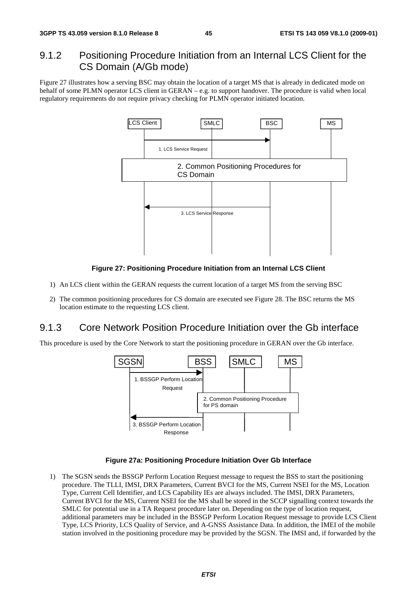### 9.1.2 Positioning Procedure Initiation from an Internal LCS Client for the CS Domain (A/Gb mode)

Figure 27 illustrates how a serving BSC may obtain the location of a target MS that is already in dedicated mode on behalf of some PLMN operator LCS client in GERAN – e.g. to support handover. The procedure is valid when local regulatory requirements do not require privacy checking for PLMN operator initiated location.



#### **Figure 27: Positioning Procedure Initiation from an Internal LCS Client**

- 1) An LCS client within the GERAN requests the current location of a target MS from the serving BSC
- 2) The common positioning procedures for CS domain are executed see Figure 28. The BSC returns the MS location estimate to the requesting LCS client.

#### 9.1.3 Core Network Position Procedure Initiation over the Gb interface

This procedure is used by the Core Network to start the positioning procedure in GERAN over the Gb interface.



#### **Figure 27a: Positioning Procedure Initiation Over Gb Interface**

1) The SGSN sends the BSSGP Perform Location Request message to request the BSS to start the positioning procedure. The TLLI, IMSI, DRX Parameters, Current BVCI for the MS, Current NSEI for the MS, Location Type, Current Cell Identifier, and LCS Capability IEs are always included. The IMSI, DRX Parameters, Current BVCI for the MS, Current NSEI for the MS shall be stored in the SCCP signalling context towards the SMLC for potential use in a TA Request procedure later on. Depending on the type of location request, additional parameters may be included in the BSSGP Perform Location Request message to provide LCS Client Type, LCS Priority, LCS Quality of Service, and A-GNSS Assistance Data. In addition, the IMEI of the mobile station involved in the positioning procedure may be provided by the SGSN. The IMSI and, if forwarded by the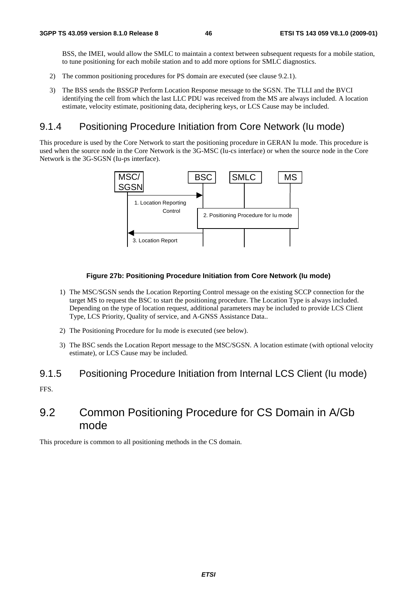BSS, the IMEI, would allow the SMLC to maintain a context between subsequent requests for a mobile station, to tune positioning for each mobile station and to add more options for SMLC diagnostics.

- 2) The common positioning procedures for PS domain are executed (see clause 9.2.1).
- 3) The BSS sends the BSSGP Perform Location Response message to the SGSN. The TLLI and the BVCI identifying the cell from which the last LLC PDU was received from the MS are always included. A location estimate, velocity estimate, positioning data, deciphering keys, or LCS Cause may be included.

### 9.1.4 Positioning Procedure Initiation from Core Network (Iu mode)

This procedure is used by the Core Network to start the positioning procedure in GERAN Iu mode. This procedure is used when the source node in the Core Network is the 3G-MSC (Iu-cs interface) or when the source node in the Core Network is the 3G-SGSN (Iu-ps interface).



#### **Figure 27b: Positioning Procedure Initiation from Core Network (Iu mode)**

- 1) The MSC/SGSN sends the Location Reporting Control message on the existing SCCP connection for the target MS to request the BSC to start the positioning procedure. The Location Type is always included. Depending on the type of location request, additional parameters may be included to provide LCS Client Type, LCS Priority, Quality of service, and A-GNSS Assistance Data..
- 2) The Positioning Procedure for Iu mode is executed (see below).
- 3) The BSC sends the Location Report message to the MSC/SGSN. A location estimate (with optional velocity estimate), or LCS Cause may be included.

#### 9.1.5 Positioning Procedure Initiation from Internal LCS Client (Iu mode)

FFS.

## 9.2 Common Positioning Procedure for CS Domain in A/Gb mode

This procedure is common to all positioning methods in the CS domain.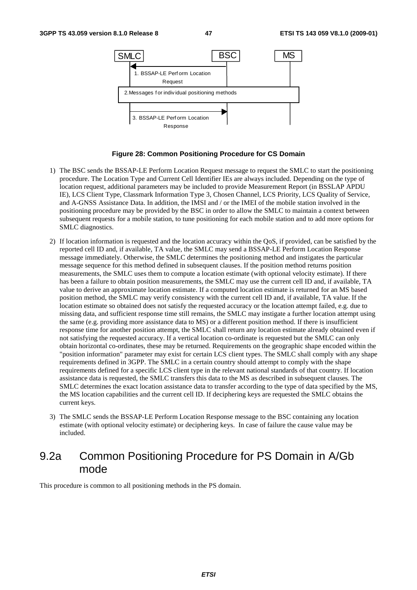

#### **Figure 28: Common Positioning Procedure for CS Domain**

- 1) The BSC sends the BSSAP-LE Perform Location Request message to request the SMLC to start the positioning procedure. The Location Type and Current Cell Identifier IEs are always included. Depending on the type of location request, additional parameters may be included to provide Measurement Report (in BSSLAP APDU IE), LCS Client Type, Classmark Information Type 3, Chosen Channel, LCS Priority, LCS Quality of Service, and A-GNSS Assistance Data. In addition, the IMSI and / or the IMEI of the mobile station involved in the positioning procedure may be provided by the BSC in order to allow the SMLC to maintain a context between subsequent requests for a mobile station, to tune positioning for each mobile station and to add more options for SMLC diagnostics.
- 2) If location information is requested and the location accuracy within the QoS, if provided, can be satisfied by the reported cell ID and, if available, TA value, the SMLC may send a BSSAP-LE Perform Location Response message immediately. Otherwise, the SMLC determines the positioning method and instigates the particular message sequence for this method defined in subsequent clauses. If the position method returns position measurements, the SMLC uses them to compute a location estimate (with optional velocity estimate). If there has been a failure to obtain position measurements, the SMLC may use the current cell ID and, if available, TA value to derive an approximate location estimate. If a computed location estimate is returned for an MS based position method, the SMLC may verify consistency with the current cell ID and, if available, TA value. If the location estimate so obtained does not satisfy the requested accuracy or the location attempt failed, e.g. due to missing data, and sufficient response time still remains, the SMLC may instigate a further location attempt using the same (e.g. providing more assistance data to MS) or a different position method. If there is insufficient response time for another position attempt, the SMLC shall return any location estimate already obtained even if not satisfying the requested accuracy. If a vertical location co-ordinate is requested but the SMLC can only obtain horizontal co-ordinates, these may be returned. Requirements on the geographic shape encoded within the "position information" parameter may exist for certain LCS client types. The SMLC shall comply with any shape requirements defined in 3GPP. The SMLC in a certain country should attempt to comply with the shape requirements defined for a specific LCS client type in the relevant national standards of that country. If location assistance data is requested, the SMLC transfers this data to the MS as described in subsequent clauses. The SMLC determines the exact location assistance data to transfer according to the type of data specified by the MS, the MS location capabilities and the current cell ID. If deciphering keys are requested the SMLC obtains the current keys.
- 3) The SMLC sends the BSSAP-LE Perform Location Response message to the BSC containing any location estimate (with optional velocity estimate) or deciphering keys. In case of failure the cause value may be included.

## 9.2a Common Positioning Procedure for PS Domain in A/Gb mode

This procedure is common to all positioning methods in the PS domain.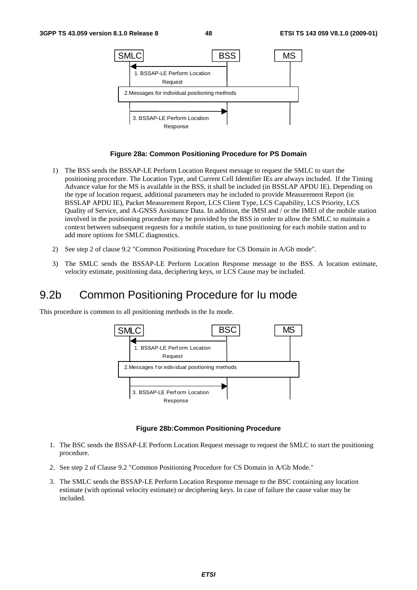

#### **Figure 28a: Common Positioning Procedure for PS Domain**

- 1) The BSS sends the BSSAP-LE Perform Location Request message to request the SMLC to start the positioning procedure. The Location Type, and Current Cell Identifier IEs are always included. If the Timing Advance value for the MS is available in the BSS, it shall be included (in BSSLAP APDU IE). Depending on the type of location request, additional parameters may be included to provide Measurement Report (in BSSLAP APDU IE), Packet Measurement Report, LCS Client Type, LCS Capability, LCS Priority, LCS Quality of Service, and A-GNSS Assistance Data. In addition, the IMSI and / or the IMEI of the mobile station involved in the positioning procedure may be provided by the BSS in order to allow the SMLC to maintain a context between subsequent requests for a mobile station, to tune positioning for each mobile station and to add more options for SMLC diagnostics.
- 2) See step 2 of clause 9.2 "Common Positioning Procedure for CS Domain in A/Gb mode".
- 3) The SMLC sends the BSSAP-LE Perform Location Response message to the BSS. A location estimate, velocity estimate, positioning data, deciphering keys, or LCS Cause may be included.

## 9.2b Common Positioning Procedure for Iu mode

This procedure is common to all positioning methods in the Iu mode.



#### **Figure 28b:Common Positioning Procedure**

- 1. The BSC sends the BSSAP-LE Perform Location Request message to request the SMLC to start the positioning procedure.
- 2. See step 2 of Clause 9.2 "Common Positioning Procedure for CS Domain in A/Gb Mode."
- 3. The SMLC sends the BSSAP-LE Perform Location Response message to the BSC containing any location estimate (with optional velocity estimate) or deciphering keys. In case of failure the cause value may be included.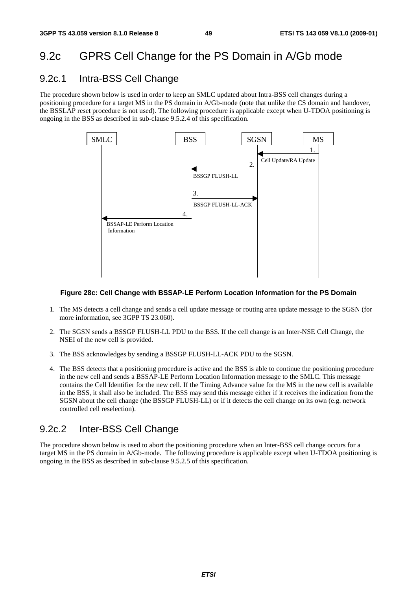## 9.2c GPRS Cell Change for the PS Domain in A/Gb mode

### 9.2c.1 Intra-BSS Cell Change

The procedure shown below is used in order to keep an SMLC updated about Intra-BSS cell changes during a positioning procedure for a target MS in the PS domain in A/Gb-mode (note that unlike the CS domain and handover, the BSSLAP reset procedure is not used). The following procedure is applicable except when U-TDOA positioning is ongoing in the BSS as described in sub-clause 9.5.2.4 of this specification.



#### **Figure 28c: Cell Change with BSSAP-LE Perform Location Information for the PS Domain**

- 1. The MS detects a cell change and sends a cell update message or routing area update message to the SGSN (for more information, see 3GPP TS 23.060).
- 2. The SGSN sends a BSSGP FLUSH-LL PDU to the BSS. If the cell change is an Inter-NSE Cell Change, the NSEI of the new cell is provided.
- 3. The BSS acknowledges by sending a BSSGP FLUSH-LL-ACK PDU to the SGSN.
- 4. The BSS detects that a positioning procedure is active and the BSS is able to continue the positioning procedure in the new cell and sends a BSSAP-LE Perform Location Information message to the SMLC. This message contains the Cell Identifier for the new cell. If the Timing Advance value for the MS in the new cell is available in the BSS, it shall also be included. The BSS may send this message either if it receives the indication from the SGSN about the cell change (the BSSGP FLUSH-LL) or if it detects the cell change on its own (e.g. network controlled cell reselection).

### 9.2c.2 Inter-BSS Cell Change

The procedure shown below is used to abort the positioning procedure when an Inter-BSS cell change occurs for a target MS in the PS domain in A/Gb-mode. The following procedure is applicable except when U-TDOA positioning is ongoing in the BSS as described in sub-clause 9.5.2.5 of this specification.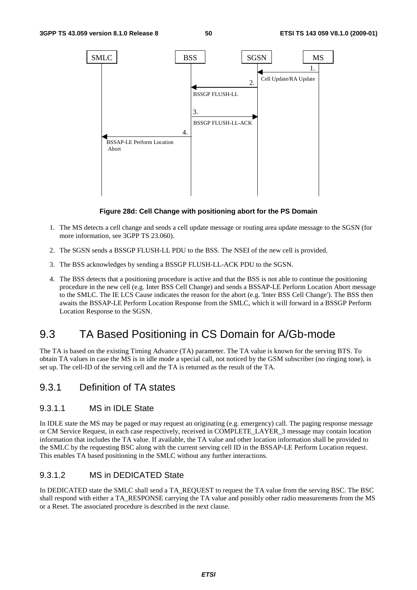

#### **Figure 28d: Cell Change with positioning abort for the PS Domain**

- 1. The MS detects a cell change and sends a cell update message or routing area update message to the SGSN (for more information, see 3GPP TS 23.060).
- 2. The SGSN sends a BSSGP FLUSH-LL PDU to the BSS. The NSEI of the new cell is provided.
- 3. The BSS acknowledges by sending a BSSGP FLUSH-LL-ACK PDU to the SGSN.
- 4. The BSS detects that a positioning procedure is active and that the BSS is not able to continue the positioning procedure in the new cell (e.g. Inter BSS Cell Change) and sends a BSSAP-LE Perform Location Abort message to the SMLC. The IE LCS Cause indicates the reason for the abort (e.g. 'Inter BSS Cell Change'). The BSS then awaits the BSSAP-LE Perform Location Response from the SMLC, which it will forward in a BSSGP Perform Location Response to the SGSN.

## 9.3 TA Based Positioning in CS Domain for A/Gb-mode

The TA is based on the existing Timing Advance (TA) parameter. The TA value is known for the serving BTS. To obtain TA values in case the MS is in idle mode a special call, not noticed by the GSM subscriber (no ringing tone), is set up. The cell-ID of the serving cell and the TA is returned as the result of the TA.

### 9.3.1 Definition of TA states

#### 9.3.1.1 MS in IDLE State

In IDLE state the MS may be paged or may request an originating (e.g. emergency) call. The paging response message or CM Service Request, in each case respectively, received in COMPLETE\_LAYER\_3 message may contain location information that includes the TA value. If available, the TA value and other location information shall be provided to the SMLC by the requesting BSC along with the current serving cell ID in the BSSAP-LE Perform Location request. This enables TA based positioning in the SMLC without any further interactions.

#### 9.3.1.2 MS in DEDICATED State

In DEDICATED state the SMLC shall send a TA\_REQUEST to request the TA value from the serving BSC. The BSC shall respond with either a TA\_RESPONSE carrying the TA value and possibly other radio measurements from the MS or a Reset. The associated procedure is described in the next clause.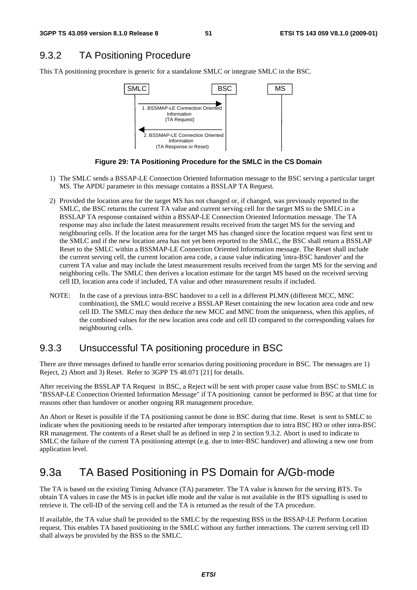### 9.3.2 TA Positioning Procedure

This TA positioning procedure is generic for a standalone SMLC or integrate SMLC in the BSC.



**Figure 29: TA Positioning Procedure for the SMLC in the CS Domain** 

- 1) The SMLC sends a BSSAP-LE Connection Oriented Information message to the BSC serving a particular target MS. The APDU parameter in this message contains a BSSLAP TA Request.
- 2) Provided the location area for the target MS has not changed or, if changed, was previously reported to the SMLC, the BSC returns the current TA value and current serving cell for the target MS to the SMLC in a BSSLAP TA response contained within a BSSAP-LE Connection Oriented Information message. The TA response may also include the latest measurement results received from the target MS for the serving and neighbouring cells. If the location area for the target MS has changed since the location request was first sent to the SMLC and if the new location area has not yet been reported to the SMLC, the BSC shall return a BSSLAP Reset to the SMLC within a BSSMAP-LE Connection Oriented Information message. The Reset shall include the current serving cell, the current location area code, a cause value indicating 'intra-BSC handover' and the current TA value and may include the latest measurement results received from the target MS for the serving and neighboring cells. The SMLC then derives a location estimate for the target MS based on the received serving cell ID, location area code if included, TA value and other measurement results if included.
- NOTE: In the case of a previous intra-BSC handover to a cell in a different PLMN (different MCC, MNC combination), the SMLC would receive a BSSLAP Reset containing the new location area code and new cell ID. The SMLC may then deduce the new MCC and MNC from the uniqueness, when this applies, of the combined values for the new location area code and cell ID compared to the corresponding values for neighbouring cells.

### 9.3.3 Unsuccessful TA positioning procedure in BSC

There are three messages defined to handle error scenarios during positioning procedure in BSC. The messages are 1) Reject, 2) Abort and 3) Reset. Refer to 3GPP TS 48.071 [21] for details.

After receiving the BSSLAP TA Request in BSC, a Reject will be sent with proper cause value from BSC to SMLC in "BSSAP-LE Connection Oriented Information Message" if TA positioning cannot be performed in BSC at that time for reasons other than handover or another ongoing RR management procedure.

An Abort or Reset is possible if the TA positioning cannot be done in BSC during that time. Reset is sent to SMLC to indicate when the positioning needs to be restarted after temporary interruption due to intra BSC HO or other intra-BSC RR management. The contents of a Reset shall be as defined in step 2 in section 9.3.2. Abort is used to indicate to SMLC the failure of the current TA positioning attempt (e.g. due to inter-BSC handover) and allowing a new one from application level.

## 9.3a TA Based Positioning in PS Domain for A/Gb-mode

The TA is based on the existing Timing Advance (TA) parameter. The TA value is known for the serving BTS. To obtain TA values in case the MS is in packet idle mode and the value is not available in the BTS signalling is used to retrieve it. The cell-ID of the serving cell and the TA is returned as the result of the TA procedure.

If available, the TA value shall be provided to the SMLC by the requesting BSS in the BSSAP-LE Perform Location request. This enables TA based positioning in the SMLC without any further interactions. The current serving cell ID shall always be provided by the BSS to the SMLC.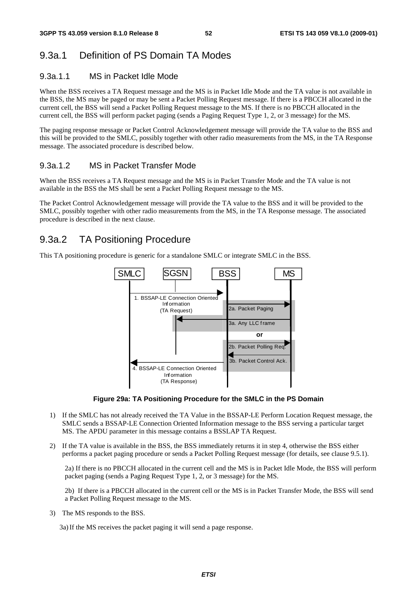## 9.3a.1 Definition of PS Domain TA Modes

#### 9.3a.1.1 MS in Packet Idle Mode

When the BSS receives a TA Request message and the MS is in Packet Idle Mode and the TA value is not available in the BSS, the MS may be paged or may be sent a Packet Polling Request message. If there is a PBCCH allocated in the current cell, the BSS will send a Packet Polling Request message to the MS. If there is no PBCCH allocated in the current cell, the BSS will perform packet paging (sends a Paging Request Type 1, 2, or 3 message) for the MS.

The paging response message or Packet Control Acknowledgement message will provide the TA value to the BSS and this will be provided to the SMLC, possibly together with other radio measurements from the MS, in the TA Response message. The associated procedure is described below.

#### 9.3a.1.2 MS in Packet Transfer Mode

When the BSS receives a TA Request message and the MS is in Packet Transfer Mode and the TA value is not available in the BSS the MS shall be sent a Packet Polling Request message to the MS.

The Packet Control Acknowledgement message will provide the TA value to the BSS and it will be provided to the SMLC, possibly together with other radio measurements from the MS, in the TA Response message. The associated procedure is described in the next clause.

### 9.3a.2 TA Positioning Procedure

This TA positioning procedure is generic for a standalone SMLC or integrate SMLC in the BSS.



**Figure 29a: TA Positioning Procedure for the SMLC in the PS Domain** 

- 1) If the SMLC has not already received the TA Value in the BSSAP-LE Perform Location Request message, the SMLC sends a BSSAP-LE Connection Oriented Information message to the BSS serving a particular target MS. The APDU parameter in this message contains a BSSLAP TA Request.
- 2) If the TA value is available in the BSS, the BSS immediately returns it in step 4, otherwise the BSS either performs a packet paging procedure or sends a Packet Polling Request message (for details, see clause 9.5.1).

2a) If there is no PBCCH allocated in the current cell and the MS is in Packet Idle Mode, the BSS will perform packet paging (sends a Paging Request Type 1, 2, or 3 message) for the MS.

2b) If there is a PBCCH allocated in the current cell or the MS is in Packet Transfer Mode, the BSS will send a Packet Polling Request message to the MS.

3) The MS responds to the BSS.

3a) If the MS receives the packet paging it will send a page response.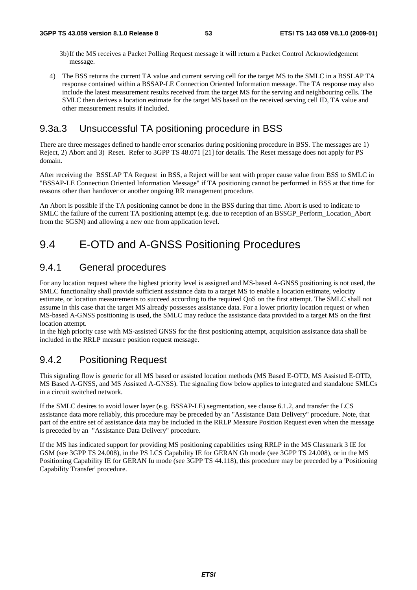- 3b) If the MS receives a Packet Polling Request message it will return a Packet Control Acknowledgement message.
- 4) The BSS returns the current TA value and current serving cell for the target MS to the SMLC in a BSSLAP TA response contained within a BSSAP-LE Connection Oriented Information message. The TA response may also include the latest measurement results received from the target MS for the serving and neighbouring cells. The SMLC then derives a location estimate for the target MS based on the received serving cell ID, TA value and other measurement results if included.

### 9.3a.3 Unsuccessful TA positioning procedure in BSS

There are three messages defined to handle error scenarios during positioning procedure in BSS. The messages are 1) Reject, 2) Abort and 3) Reset. Refer to 3GPP TS 48.071 [21] for details. The Reset message does not apply for PS domain.

After receiving the BSSLAP TA Request in BSS, a Reject will be sent with proper cause value from BSS to SMLC in "BSSAP-LE Connection Oriented Information Message" if TA positioning cannot be performed in BSS at that time for reasons other than handover or another ongoing RR management procedure.

An Abort is possible if the TA positioning cannot be done in the BSS during that time. Abort is used to indicate to SMLC the failure of the current TA positioning attempt (e.g. due to reception of an BSSGP\_Perform\_Location\_Abort from the SGSN) and allowing a new one from application level.

## 9.4 E-OTD and A-GNSS Positioning Procedures

### 9.4.1 General procedures

For any location request where the highest priority level is assigned and MS-based A-GNSS positioning is not used, the SMLC functionality shall provide sufficient assistance data to a target MS to enable a location estimate, velocity estimate, or location measurements to succeed according to the required QoS on the first attempt. The SMLC shall not assume in this case that the target MS already possesses assistance data. For a lower priority location request or when MS-based A-GNSS positioning is used, the SMLC may reduce the assistance data provided to a target MS on the first location attempt.

In the high priority case with MS-assisted GNSS for the first positioning attempt, acquisition assistance data shall be included in the RRLP measure position request message.

### 9.4.2 Positioning Request

This signaling flow is generic for all MS based or assisted location methods (MS Based E-OTD, MS Assisted E-OTD, MS Based A-GNSS, and MS Assisted A-GNSS). The signaling flow below applies to integrated and standalone SMLCs in a circuit switched network.

If the SMLC desires to avoid lower layer (e.g. BSSAP-LE) segmentation, see clause 6.1.2, and transfer the LCS assistance data more reliably, this procedure may be preceded by an "Assistance Data Delivery" procedure. Note, that part of the entire set of assistance data may be included in the RRLP Measure Position Request even when the message is preceded by an "Assistance Data Delivery" procedure.

If the MS has indicated support for providing MS positioning capabilities using RRLP in the MS Classmark 3 IE for GSM (see 3GPP TS 24.008), in the PS LCS Capability IE for GERAN Gb mode (see 3GPP TS 24.008), or in the MS Positioning Capability IE for GERAN Iu mode (see 3GPP TS 44.118), this procedure may be preceded by a 'Positioning Capability Transfer' procedure.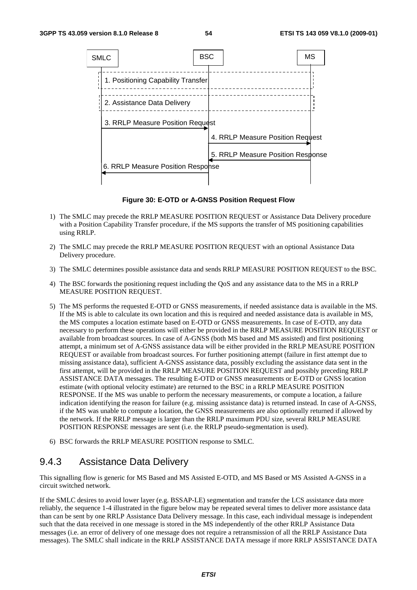

**Figure 30: E-OTD or A-GNSS Position Request Flow** 

- 1) The SMLC may precede the RRLP MEASURE POSITION REQUEST or Assistance Data Delivery procedure with a Position Capability Transfer procedure, if the MS supports the transfer of MS positioning capabilities using RRLP.
- 2) The SMLC may precede the RRLP MEASURE POSITION REQUEST with an optional Assistance Data Delivery procedure.
- 3) The SMLC determines possible assistance data and sends RRLP MEASURE POSITION REQUEST to the BSC.
- 4) The BSC forwards the positioning request including the QoS and any assistance data to the MS in a RRLP MEASURE POSITION REQUEST.
- 5) The MS performs the requested E-OTD or GNSS measurements, if needed assistance data is available in the MS. If the MS is able to calculate its own location and this is required and needed assistance data is available in MS, the MS computes a location estimate based on E-OTD or GNSS measurements. In case of E-OTD, any data necessary to perform these operations will either be provided in the RRLP MEASURE POSITION REQUEST or available from broadcast sources. In case of A-GNSS (both MS based and MS assisted) and first positioning attempt, a minimum set of A-GNSS assistance data will be either provided in the RRLP MEASURE POSITION REQUEST or available from broadcast sources. For further positioning attempt (failure in first attempt due to missing assistance data), sufficient A-GNSS assistance data, possibly excluding the assistance data sent in the first attempt, will be provided in the RRLP MEASURE POSITION REQUEST and possibly preceding RRLP ASSISTANCE DATA messages. The resulting E-OTD or GNSS measurements or E-OTD or GNSS location estimate (with optional velocity estimate) are returned to the BSC in a RRLP MEASURE POSITION RESPONSE. If the MS was unable to perform the necessary measurements, or compute a location, a failure indication identifying the reason for failure (e.g. missing assistance data) is returned instead. In case of A-GNSS, if the MS was unable to compute a location, the GNSS measurements are also optionally returned if allowed by the network. If the RRLP message is larger than the RRLP maximum PDU size, several RRLP MEASURE POSITION RESPONSE messages are sent (i.e. the RRLP pseudo-segmentation is used).
- 6) BSC forwards the RRLP MEASURE POSITION response to SMLC.

### 9.4.3 Assistance Data Delivery

This signalling flow is generic for MS Based and MS Assisted E-OTD, and MS Based or MS Assisted A-GNSS in a circuit switched network.

If the SMLC desires to avoid lower layer (e.g. BSSAP-LE) segmentation and transfer the LCS assistance data more reliably, the sequence 1-4 illustrated in the figure below may be repeated several times to deliver more assistance data than can be sent by one RRLP Assistance Data Delivery message. In this case, each individual message is independent such that the data received in one message is stored in the MS independently of the other RRLP Assistance Data messages (i.e. an error of delivery of one message does not require a retransmission of all the RRLP Assistance Data messages). The SMLC shall indicate in the RRLP ASSISTANCE DATA message if more RRLP ASSISTANCE DATA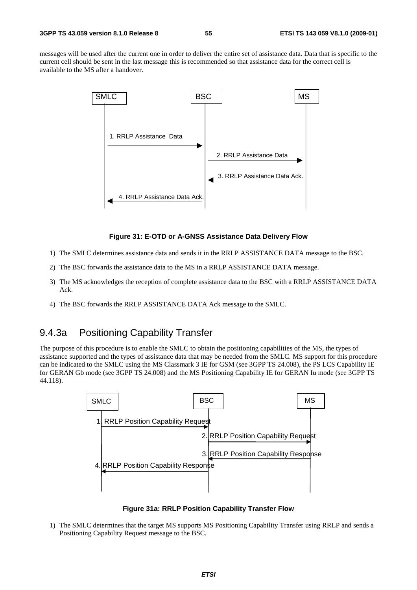messages will be used after the current one in order to deliver the entire set of assistance data. Data that is specific to the current cell should be sent in the last message this is recommended so that assistance data for the correct cell is available to the MS after a handover.



#### **Figure 31: E-OTD or A-GNSS Assistance Data Delivery Flow**

- 1) The SMLC determines assistance data and sends it in the RRLP ASSISTANCE DATA message to the BSC.
- 2) The BSC forwards the assistance data to the MS in a RRLP ASSISTANCE DATA message.
- 3) The MS acknowledges the reception of complete assistance data to the BSC with a RRLP ASSISTANCE DATA Ack.
- 4) The BSC forwards the RRLP ASSISTANCE DATA Ack message to the SMLC.

### 9.4.3a Positioning Capability Transfer

The purpose of this procedure is to enable the SMLC to obtain the positioning capabilities of the MS, the types of assistance supported and the types of assistance data that may be needed from the SMLC. MS support for this procedure can be indicated to the SMLC using the MS Classmark 3 IE for GSM (see 3GPP TS 24.008), the PS LCS Capability IE for GERAN Gb mode (see 3GPP TS 24.008) and the MS Positioning Capability IE for GERAN Iu mode (see 3GPP TS 44.118).



**Figure 31a: RRLP Position Capability Transfer Flow** 

1) The SMLC determines that the target MS supports MS Positioning Capability Transfer using RRLP and sends a Positioning Capability Request message to the BSC.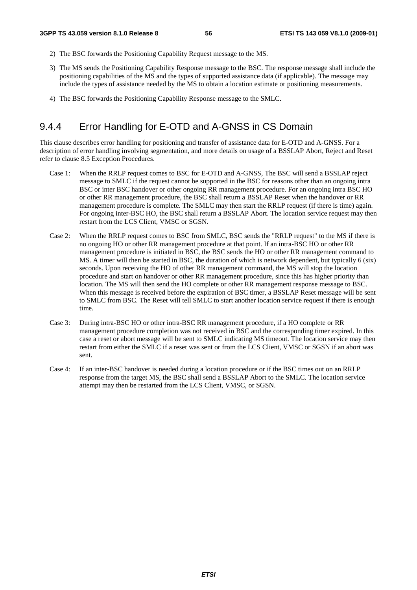- 2) The BSC forwards the Positioning Capability Request message to the MS.
- 3) The MS sends the Positioning Capability Response message to the BSC. The response message shall include the positioning capabilities of the MS and the types of supported assistance data (if applicable). The message may include the types of assistance needed by the MS to obtain a location estimate or positioning measurements.
- 4) The BSC forwards the Positioning Capability Response message to the SMLC.

### 9.4.4 Error Handling for E-OTD and A-GNSS in CS Domain

This clause describes error handling for positioning and transfer of assistance data for E-OTD and A-GNSS. For a description of error handling involving segmentation, and more details on usage of a BSSLAP Abort, Reject and Reset refer to clause 8.5 Exception Procedures.

- Case 1: When the RRLP request comes to BSC for E-OTD and A-GNSS, The BSC will send a BSSLAP reject message to SMLC if the request cannot be supported in the BSC for reasons other than an ongoing intra BSC or inter BSC handover or other ongoing RR management procedure. For an ongoing intra BSC HO or other RR management procedure, the BSC shall return a BSSLAP Reset when the handover or RR management procedure is complete. The SMLC may then start the RRLP request (if there is time) again. For ongoing inter-BSC HO, the BSC shall return a BSSLAP Abort. The location service request may then restart from the LCS Client, VMSC or SGSN.
- Case 2: When the RRLP request comes to BSC from SMLC, BSC sends the "RRLP request" to the MS if there is no ongoing HO or other RR management procedure at that point. If an intra-BSC HO or other RR management procedure is initiated in BSC, the BSC sends the HO or other RR management command to MS. A timer will then be started in BSC, the duration of which is network dependent, but typically 6 (six) seconds. Upon receiving the HO of other RR management command, the MS will stop the location procedure and start on handover or other RR management procedure, since this has higher priority than location. The MS will then send the HO complete or other RR management response message to BSC. When this message is received before the expiration of BSC timer, a BSSLAP Reset message will be sent to SMLC from BSC. The Reset will tell SMLC to start another location service request if there is enough time.
- Case 3: During intra-BSC HO or other intra-BSC RR management procedure, if a HO complete or RR management procedure completion was not received in BSC and the corresponding timer expired. In this case a reset or abort message will be sent to SMLC indicating MS timeout. The location service may then restart from either the SMLC if a reset was sent or from the LCS Client, VMSC or SGSN if an abort was sent.
- Case 4: If an inter-BSC handover is needed during a location procedure or if the BSC times out on an RRLP response from the target MS, the BSC shall send a BSSLAP Abort to the SMLC. The location service attempt may then be restarted from the LCS Client, VMSC, or SGSN.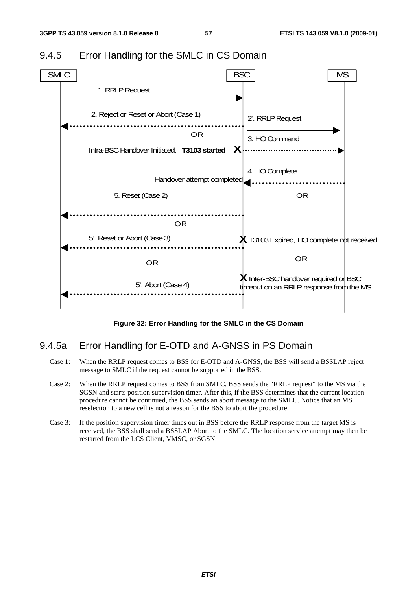

## 9.4.5 Error Handling for the SMLC in CS Domain

**Figure 32: Error Handling for the SMLC in the CS Domain** 

### 9.4.5a Error Handling for E-OTD and A-GNSS in PS Domain

- Case 1: When the RRLP request comes to BSS for E-OTD and A-GNSS, the BSS will send a BSSLAP reject message to SMLC if the request cannot be supported in the BSS.
- Case 2: When the RRLP request comes to BSS from SMLC, BSS sends the "RRLP request" to the MS via the SGSN and starts position supervision timer. After this, if the BSS determines that the current location procedure cannot be continued, the BSS sends an abort message to the SMLC. Notice that an MS reselection to a new cell is not a reason for the BSS to abort the procedure.
- Case 3: If the position supervision timer times out in BSS before the RRLP response from the target MS is received, the BSS shall send a BSSLAP Abort to the SMLC. The location service attempt may then be restarted from the LCS Client, VMSC, or SGSN.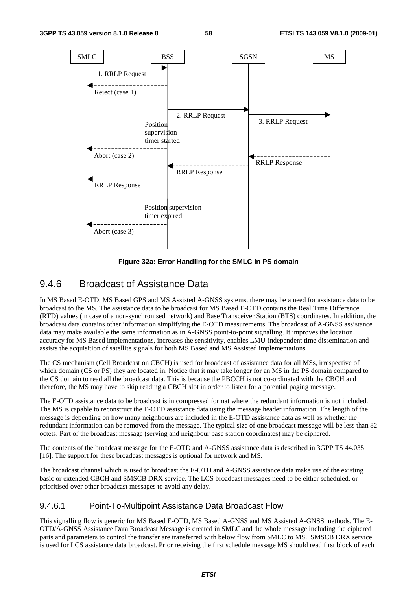

**Figure 32a: Error Handling for the SMLC in PS domain** 

### 9.4.6 Broadcast of Assistance Data

In MS Based E-OTD, MS Based GPS and MS Assisted A-GNSS systems, there may be a need for assistance data to be broadcast to the MS. The assistance data to be broadcast for MS Based E-OTD contains the Real Time Difference (RTD) values (in case of a non-synchronised network) and Base Transceiver Station (BTS) coordinates. In addition, the broadcast data contains other information simplifying the E-OTD measurements. The broadcast of A-GNSS assistance data may make available the same information as in A-GNSS point-to-point signalling. It improves the location accuracy for MS Based implementations, increases the sensitivity, enables LMU-independent time dissemination and assists the acquisition of satellite signals for both MS Based and MS Assisted implementations.

The CS mechanism (Cell Broadcast on CBCH) is used for broadcast of assistance data for all MSs, irrespective of which domain (CS or PS) they are located in. Notice that it may take longer for an MS in the PS domain compared to the CS domain to read all the broadcast data. This is because the PBCCH is not co-ordinated with the CBCH and therefore, the MS may have to skip reading a CBCH slot in order to listen for a potential paging message.

The E-OTD assistance data to be broadcast is in compressed format where the redundant information is not included. The MS is capable to reconstruct the E-OTD assistance data using the message header information. The length of the message is depending on how many neighbours are included in the E-OTD assistance data as well as whether the redundant information can be removed from the message. The typical size of one broadcast message will be less than 82 octets. Part of the broadcast message (serving and neighbour base station coordinates) may be ciphered.

The contents of the broadcast message for the E-OTD and A-GNSS assistance data is described in 3GPP TS 44.035 [16]. The support for these broadcast messages is optional for network and MS.

The broadcast channel which is used to broadcast the E-OTD and A-GNSS assistance data make use of the existing basic or extended CBCH and SMSCB DRX service. The LCS broadcast messages need to be either scheduled, or prioritised over other broadcast messages to avoid any delay.

#### 9.4.6.1 Point-To-Multipoint Assistance Data Broadcast Flow

This signalling flow is generic for MS Based E-OTD, MS Based A-GNSS and MS Assisted A-GNSS methods. The E-OTD/A-GNSS Assistance Data Broadcast Message is created in SMLC and the whole message including the ciphered parts and parameters to control the transfer are transferred with below flow from SMLC to MS. SMSCB DRX service is used for LCS assistance data broadcast. Prior receiving the first schedule message MS should read first block of each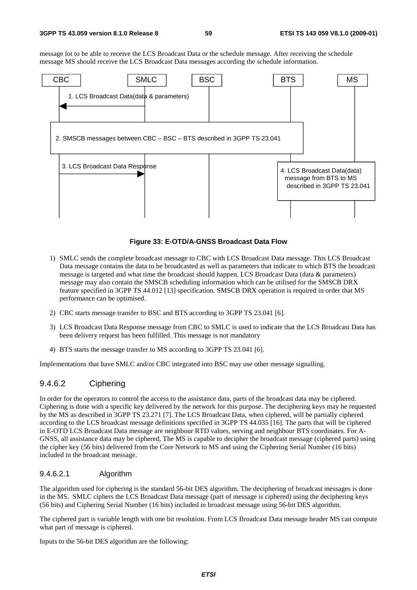message lot to be able to receive the LCS Broadcast Data or the schedule message. After receiving the schedule message MS should receive the LCS Broadcast Data messages according the schedule information.



#### **Figure 33: E-OTD/A-GNSS Broadcast Data Flow**

- 1) SMLC sends the complete broadcast message to CBC with LCS Broadcast Data message. This LCS Broadcast Data message contains the data to be broadcasted as well as parameters that indicate to which BTS the broadcast message is targeted and what time the broadcast should happen. LCS Broadcast Data (data & parameters) message may also contain the SMSCB scheduling information which can be utilised for the SMSCB DRX feature specified in 3GPP TS 44.012 [13] specification. SMSCB DRX operation is required in order that MS performance can be optimised.
- 2) CBC starts message transfer to BSC and BTS according to 3GPP TS 23.041 [6].
- 3) LCS Broadcast Data Response message from CBC to SMLC is used to indicate that the LCS Broadcast Data has been delivery request has been fulfilled. This message is not mandatory
- 4) BTS starts the message transfer to MS according to 3GPP TS 23.041 [6].

Implementations that have SMLC and/or CBC integrated into BSC may use other message signalling.

#### 9.4.6.2 Ciphering

In order for the operators to control the access to the assistance data, parts of the broadcast data may be ciphered. Ciphering is done with a specific key delivered by the network for this purpose. The deciphering keys may be requested by the MS as described in 3GPP TS 23.271 [7]. The LCS Broadcast Data, when ciphered, will be partially ciphered according to the LCS broadcast message definitions specified in 3GPP TS 44.035 [16]. The parts that will be ciphered in E-OTD LCS Broadcast Data message are neighbour RTD values, serving and neighbour BTS coordinates. For A-GNSS, all assistance data may be ciphered, The MS is capable to decipher the broadcast message (ciphered parts) using the cipher key (56 bits) delivered from the Core Network to MS and using the Ciphering Serial Number (16 bits) included in the broadcast message.

#### 9.4.6.2.1 Algorithm

The algorithm used for ciphering is the standard 56-bit DES algorithm. The deciphering of broadcast messages is done in the MS. SMLC ciphers the LCS Broadcast Data message (part of message is ciphered) using the deciphering keys (56 bits) and Ciphering Serial Number (16 bits) included in broadcast message using 56-bit DES algorithm.

The ciphered part is variable length with one bit resolution. From LCS Broadcast Data message header MS can compute what part of message is ciphered.

Inputs to the 56-bit DES algorithm are the following: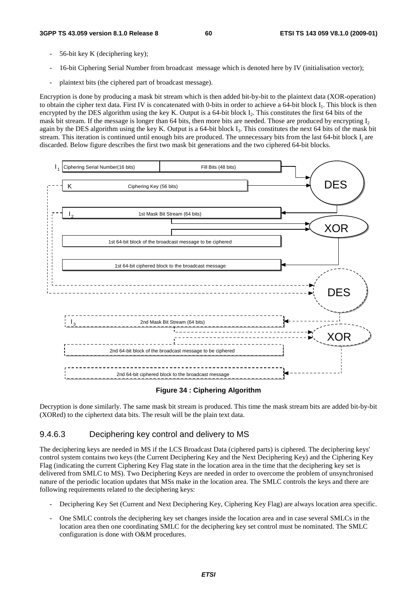- 56-bit key K (deciphering key);
- 16-bit Ciphering Serial Number from broadcast message which is denoted here by IV (initialisation vector);
- plaintext bits (the ciphered part of broadcast message).

Encryption is done by producing a mask bit stream which is then added bit-by-bit to the plaintext data (XOR-operation) to obtain the cipher text data. First IV is concatenated with 0-bits in order to achieve a 64-bit block I<sub>1</sub>. This block is then encrypted by the DES algorithm using the key K. Output is a 64-bit block  $I_2$ . This constitutes the first 64 bits of the mask bit stream. If the message is longer than 64 bits, then more bits are needed. Those are produced by encrypting  $I_2$ again by the DES algorithm using the key K. Output is a 64-bit block  $I_3$ . This constitutes the next 64 bits of the mask bit stream. This iteration is continued until enough bits are produced. The unnecessary bits from the last  $64$ -bit block  $I_i$  are discarded. Below figure describes the first two mask bit generations and the two ciphered 64-bit blocks.



#### **Figure 34 : Ciphering Algorithm**

Decryption is done similarly. The same mask bit stream is produced. This time the mask stream bits are added bit-by-bit (XORed) to the ciphertext data bits. The result will be the plain text data.

#### 9.4.6.3 Deciphering key control and delivery to MS

The deciphering keys are needed in MS if the LCS Broadcast Data (ciphered parts) is ciphered. The deciphering keys' control system contains two keys (the Current Deciphering Key and the Next Deciphering Key) and the Ciphering Key Flag (indicating the current Ciphering Key Flag state in the location area in the time that the deciphering key set is delivered from SMLC to MS). Two Deciphering Keys are needed in order to overcome the problem of unsynchronised nature of the periodic location updates that MSs make in the location area. The SMLC controls the keys and there are following requirements related to the deciphering keys:

- Deciphering Key Set (Current and Next Deciphering Key, Ciphering Key Flag) are always location area specific.
- One SMLC controls the deciphering key set changes inside the location area and in case several SMLCs in the location area then one coordinating SMLC for the deciphering key set control must be nominated. The SMLC configuration is done with O&M procedures.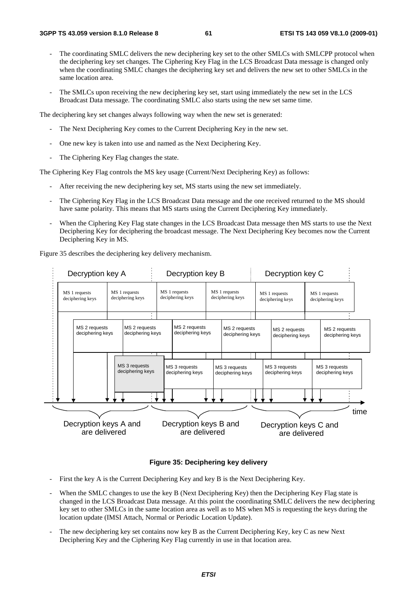- The coordinating SMLC delivers the new deciphering key set to the other SMLCs with SMLCPP protocol when the deciphering key set changes. The Ciphering Key Flag in the LCS Broadcast Data message is changed only when the coordinating SMLC changes the deciphering key set and delivers the new set to other SMLCs in the same location area.
- The SMLCs upon receiving the new deciphering key set, start using immediately the new set in the LCS Broadcast Data message. The coordinating SMLC also starts using the new set same time.

The deciphering key set changes always following way when the new set is generated:

- The Next Deciphering Key comes to the Current Deciphering Key in the new set.
- One new key is taken into use and named as the Next Deciphering Key.
- The Ciphering Key Flag changes the state.

The Ciphering Key Flag controls the MS key usage (Current/Next Deciphering Key) as follows:

- After receiving the new deciphering key set, MS starts using the new set immediately.
- The Ciphering Key Flag in the LCS Broadcast Data message and the one received returned to the MS should have same polarity. This means that MS starts using the Current Deciphering Key immediately.
- When the Ciphering Key Flag state changes in the LCS Broadcast Data message then MS starts to use the Next Deciphering Key for deciphering the broadcast message. The Next Deciphering Key becomes now the Current Deciphering Key in MS.

Figure 35 describes the deciphering key delivery mechanism.



#### **Figure 35: Deciphering key delivery**

- First the key A is the Current Deciphering Key and key B is the Next Deciphering Key.
- When the SMLC changes to use the key B (Next Deciphering Key) then the Deciphering Key Flag state is changed in the LCS Broadcast Data message. At this point the coordinating SMLC delivers the new deciphering key set to other SMLCs in the same location area as well as to MS when MS is requesting the keys during the location update (IMSI Attach, Normal or Periodic Location Update).
- The new deciphering key set contains now key B as the Current Deciphering Key, key C as new Next Deciphering Key and the Ciphering Key Flag currently in use in that location area.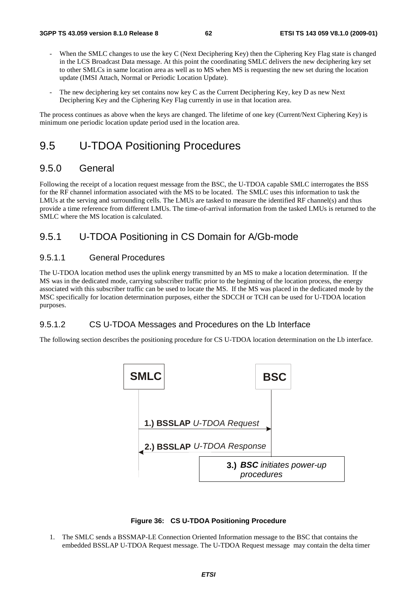- When the SMLC changes to use the key C (Next Deciphering Key) then the Ciphering Key Flag state is changed in the LCS Broadcast Data message. At this point the coordinating SMLC delivers the new deciphering key set to other SMLCs in same location area as well as to MS when MS is requesting the new set during the location update (IMSI Attach, Normal or Periodic Location Update).
- The new deciphering key set contains now key C as the Current Deciphering Key, key D as new Next Deciphering Key and the Ciphering Key Flag currently in use in that location area.

The process continues as above when the keys are changed. The lifetime of one key (Current/Next Ciphering Key) is minimum one periodic location update period used in the location area.

### 9.5 U-TDOA Positioning Procedures

### 9.5.0 General

Following the receipt of a location request message from the BSC, the U-TDOA capable SMLC interrogates the BSS for the RF channel information associated with the MS to be located. The SMLC uses this information to task the LMUs at the serving and surrounding cells. The LMUs are tasked to measure the identified RF channel(s) and thus provide a time reference from different LMUs. The time-of-arrival information from the tasked LMUs is returned to the SMLC where the MS location is calculated.

### 9.5.1 U-TDOA Positioning in CS Domain for A/Gb-mode

#### 9.5.1.1 General Procedures

The U-TDOA location method uses the uplink energy transmitted by an MS to make a location determination. If the MS was in the dedicated mode, carrying subscriber traffic prior to the beginning of the location process, the energy associated with this subscriber traffic can be used to locate the MS. If the MS was placed in the dedicated mode by the MSC specifically for location determination purposes, either the SDCCH or TCH can be used for U-TDOA location purposes.

#### 9.5.1.2 CS U-TDOA Messages and Procedures on the Lb Interface

The following section describes the positioning procedure for CS U-TDOA location determination on the Lb interface.



#### **Figure 36: CS U-TDOA Positioning Procedure**

1. The SMLC sends a BSSMAP-LE Connection Oriented Information message to the BSC that contains the embedded BSSLAP U-TDOA Request message. The U-TDOA Request message may contain the delta timer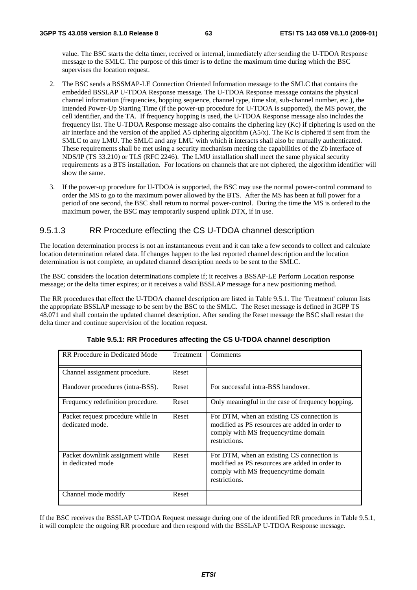value. The BSC starts the delta timer, received or internal, immediately after sending the U-TDOA Response message to the SMLC. The purpose of this timer is to define the maximum time during which the BSC supervises the location request.

- 2. The BSC sends a BSSMAP-LE Connection Oriented Information message to the SMLC that contains the embedded BSSLAP U-TDOA Response message. The U-TDOA Response message contains the physical channel information (frequencies, hopping sequence, channel type, time slot, sub-channel number, etc.), the intended Power-Up Starting Time (if the power-up procedure for U-TDOA is supported), the MS power, the cell identifier, and the TA. If frequency hopping is used, the U-TDOA Response message also includes the frequency list. The U-TDOA Response message also contains the ciphering key (Kc) if ciphering is used on the air interface and the version of the applied A5 ciphering algorithm (A5/x). The Kc is ciphered if sent from the SMLC to any LMU. The SMLC and any LMU with which it interacts shall also be mutually authenticated. These requirements shall be met using a security mechanism meeting the capabilities of the Zb interface of NDS/IP (TS 33.210) or TLS (RFC 2246). The LMU installation shall meet the same physical security requirements as a BTS installation. For locations on channels that are not ciphered, the algorithm identifier will show the same.
- 3. If the power-up procedure for U-TDOA is supported, the BSC may use the normal power-control command to order the MS to go to the maximum power allowed by the BTS. After the MS has been at full power for a period of one second, the BSC shall return to normal power-control. During the time the MS is ordered to the maximum power, the BSC may temporarily suspend uplink DTX, if in use.

#### 9.5.1.3 RR Procedure effecting the CS U-TDOA channel description

The location determination process is not an instantaneous event and it can take a few seconds to collect and calculate location determination related data. If changes happen to the last reported channel description and the location determination is not complete, an updated channel description needs to be sent to the SMLC.

The BSC considers the location determinations complete if; it receives a BSSAP-LE Perform Location response message; or the delta timer expires; or it receives a valid BSSLAP message for a new positioning method.

The RR procedures that effect the U-TDOA channel description are listed in Table 9.5.1. The 'Treatment' column lists the appropriate BSSLAP message to be sent by the BSC to the SMLC. The Reset message is defined in 3GPP TS 48.071 and shall contain the updated channel description. After sending the Reset message the BSC shall restart the delta timer and continue supervision of the location request.

| RR Procedure in Dedicated Mode                        | Treatment | Comments                                                                                                                                              |
|-------------------------------------------------------|-----------|-------------------------------------------------------------------------------------------------------------------------------------------------------|
| Channel assignment procedure.                         | Reset     |                                                                                                                                                       |
| Handover procedures (intra-BSS).                      | Reset     | For successful intra-BSS handover.                                                                                                                    |
| Frequency redefinition procedure.                     | Reset     | Only meaningful in the case of frequency hopping.                                                                                                     |
| Packet request procedure while in<br>dedicated mode.  | Reset     | For DTM, when an existing CS connection is<br>modified as PS resources are added in order to<br>comply with MS frequency/time domain<br>restrictions. |
| Packet downlink assignment while<br>in dedicated mode | Reset     | For DTM, when an existing CS connection is<br>modified as PS resources are added in order to<br>comply with MS frequency/time domain<br>restrictions. |
| Channel mode modify                                   | Reset     |                                                                                                                                                       |

**Table 9.5.1: RR Procedures affecting the CS U-TDOA channel description** 

If the BSC receives the BSSLAP U-TDOA Request message during one of the identified RR procedures in Table 9.5.1, it will complete the ongoing RR procedure and then respond with the BSSLAP U-TDOA Response message.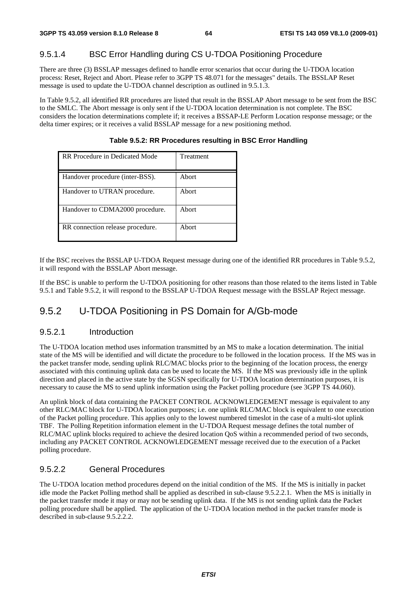#### 9.5.1.4 BSC Error Handling during CS U-TDOA Positioning Procedure

There are three (3) BSSLAP messages defined to handle error scenarios that occur during the U-TDOA location process: Reset, Reject and Abort. Please refer to 3GPP TS 48.071 for the messages" details. The BSSLAP Reset message is used to update the U-TDOA channel description as outlined in 9.5.1.3.

In Table 9.5.2, all identified RR procedures are listed that result in the BSSLAP Abort message to be sent from the BSC to the SMLC. The Abort message is only sent if the U-TDOA location determination is not complete. The BSC considers the location determinations complete if; it receives a BSSAP-LE Perform Location response message; or the delta timer expires; or it receives a valid BSSLAP message for a new positioning method.

| RR Procedure in Dedicated Mode   | Treatment |
|----------------------------------|-----------|
| Handover procedure (inter-BSS).  | Abort     |
| Handover to UTRAN procedure.     | Abort     |
| Handover to CDMA2000 procedure.  | Abort     |
| RR connection release procedure. | Abort     |

**Table 9.5.2: RR Procedures resulting in BSC Error Handling** 

If the BSC receives the BSSLAP U-TDOA Request message during one of the identified RR procedures in Table 9.5.2, it will respond with the BSSLAP Abort message.

If the BSC is unable to perform the U-TDOA positioning for other reasons than those related to the items listed in Table 9.5.1 and Table 9.5.2, it will respond to the BSSLAP U-TDOA Request message with the BSSLAP Reject message.

### 9.5.2 U-TDOA Positioning in PS Domain for A/Gb-mode

#### 9.5.2.1 Introduction

The U-TDOA location method uses information transmitted by an MS to make a location determination. The initial state of the MS will be identified and will dictate the procedure to be followed in the location process. If the MS was in the packet transfer mode, sending uplink RLC/MAC blocks prior to the beginning of the location process, the energy associated with this continuing uplink data can be used to locate the MS. If the MS was previously idle in the uplink direction and placed in the active state by the SGSN specifically for U-TDOA location determination purposes, it is necessary to cause the MS to send uplink information using the Packet polling procedure (see 3GPP TS 44.060).

An uplink block of data containing the PACKET CONTROL ACKNOWLEDGEMENT message is equivalent to any other RLC/MAC block for U-TDOA location purposes; i.e. one uplink RLC/MAC block is equivalent to one execution of the Packet polling procedure. This applies only to the lowest numbered timeslot in the case of a multi-slot uplink TBF. The Polling Repetition information element in the U-TDOA Request message defines the total number of RLC/MAC uplink blocks required to achieve the desired location QoS within a recommended period of two seconds, including any PACKET CONTROL ACKNOWLEDGEMENT message received due to the execution of a Packet polling procedure.

#### 9.5.2.2 General Procedures

The U-TDOA location method procedures depend on the initial condition of the MS. If the MS is initially in packet idle mode the Packet Polling method shall be applied as described in sub-clause 9.5.2.2.1. When the MS is initially in the packet transfer mode it may or may not be sending uplink data. If the MS is not sending uplink data the Packet polling procedure shall be applied. The application of the U-TDOA location method in the packet transfer mode is described in sub-clause 9.5.2.2.2.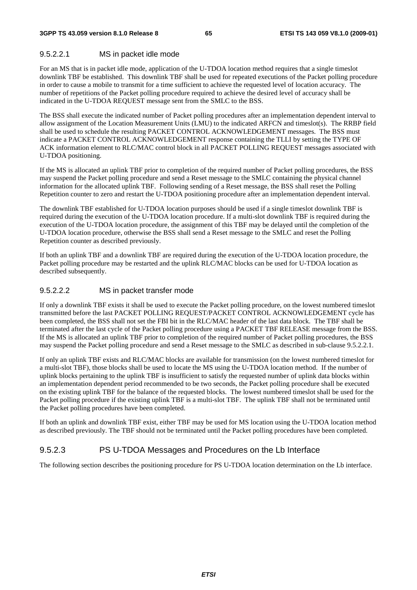#### 9.5.2.2.1 MS in packet idle mode

For an MS that is in packet idle mode, application of the U-TDOA location method requires that a single timeslot downlink TBF be established. This downlink TBF shall be used for repeated executions of the Packet polling procedure in order to cause a mobile to transmit for a time sufficient to achieve the requested level of location accuracy. The number of repetitions of the Packet polling procedure required to achieve the desired level of accuracy shall be indicated in the U-TDOA REQUEST message sent from the SMLC to the BSS.

The BSS shall execute the indicated number of Packet polling procedures after an implementation dependent interval to allow assignment of the Location Measurement Units (LMU) to the indicated ARFCN and timeslot(s). The RRBP field shall be used to schedule the resulting PACKET CONTROL ACKNOWLEDGEMENT messages. The BSS must indicate a PACKET CONTROL ACKNOWLEDGEMENT response containing the TLLI by setting the TYPE OF ACK information element to RLC/MAC control block in all PACKET POLLING REQUEST messages associated with U-TDOA positioning.

If the MS is allocated an uplink TBF prior to completion of the required number of Packet polling procedures, the BSS may suspend the Packet polling procedure and send a Reset message to the SMLC containing the physical channel information for the allocated uplink TBF. Following sending of a Reset message, the BSS shall reset the Polling Repetition counter to zero and restart the U-TDOA positioning procedure after an implementation dependent interval.

The downlink TBF established for U-TDOA location purposes should be used if a single timeslot downlink TBF is required during the execution of the U-TDOA location procedure. If a multi-slot downlink TBF is required during the execution of the U-TDOA location procedure, the assignment of this TBF may be delayed until the completion of the U-TDOA location procedure, otherwise the BSS shall send a Reset message to the SMLC and reset the Polling Repetition counter as described previously.

If both an uplink TBF and a downlink TBF are required during the execution of the U-TDOA location procedure, the Packet polling procedure may be restarted and the uplink RLC/MAC blocks can be used for U-TDOA location as described subsequently.

#### 9.5.2.2.2 MS in packet transfer mode

If only a downlink TBF exists it shall be used to execute the Packet polling procedure, on the lowest numbered timeslot transmitted before the last PACKET POLLING REQUEST/PACKET CONTROL ACKNOWLEDGEMENT cycle has been completed, the BSS shall not set the FBI bit in the RLC/MAC header of the last data block. The TBF shall be terminated after the last cycle of the Packet polling procedure using a PACKET TBF RELEASE message from the BSS. If the MS is allocated an uplink TBF prior to completion of the required number of Packet polling procedures, the BSS may suspend the Packet polling procedure and send a Reset message to the SMLC as described in sub-clause 9.5.2.2.1.

If only an uplink TBF exists and RLC/MAC blocks are available for transmission (on the lowest numbered timeslot for a multi-slot TBF), those blocks shall be used to locate the MS using the U-TDOA location method. If the number of uplink blocks pertaining to the uplink TBF is insufficient to satisfy the requested number of uplink data blocks within an implementation dependent period recommended to be two seconds, the Packet polling procedure shall be executed on the existing uplink TBF for the balance of the requested blocks. The lowest numbered timeslot shall be used for the Packet polling procedure if the existing uplink TBF is a multi-slot TBF. The uplink TBF shall not be terminated until the Packet polling procedures have been completed.

If both an uplink and downlink TBF exist, either TBF may be used for MS location using the U-TDOA location method as described previously. The TBF should not be terminated until the Packet polling procedures have been completed.

#### 9.5.2.3 PS U-TDOA Messages and Procedures on the Lb Interface

The following section describes the positioning procedure for PS U-TDOA location determination on the Lb interface.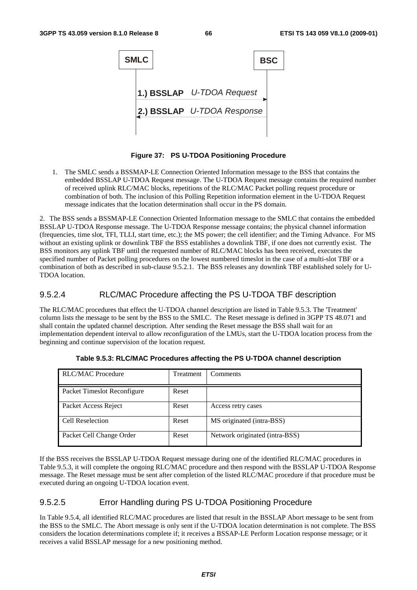

**Figure 37: PS U-TDOA Positioning Procedure** 

1. The SMLC sends a BSSMAP-LE Connection Oriented Information message to the BSS that contains the embedded BSSLAP U-TDOA Request message. The U-TDOA Request message contains the required number of received uplink RLC/MAC blocks, repetitions of the RLC/MAC Packet polling request procedure or combination of both. The inclusion of this Polling Repetition information element in the U-TDOA Request message indicates that the location determination shall occur in the PS domain.

2. The BSS sends a BSSMAP-LE Connection Oriented Information message to the SMLC that contains the embedded BSSLAP U-TDOA Response message. The U-TDOA Response message contains; the physical channel information (frequencies, time slot, TFI, TLLI, start time, etc.); the MS power; the cell identifier; and the Timing Advance. For MS without an existing uplink or downlink TBF the BSS establishes a downlink TBF, if one does not currently exist. The BSS monitors any uplink TBF until the requested number of RLC/MAC blocks has been received, executes the specified number of Packet polling procedures on the lowest numbered timeslot in the case of a multi-slot TBF or a combination of both as described in sub-clause 9.5.2.1. The BSS releases any downlink TBF established solely for U-TDOA location.

#### 9.5.2.4 RLC/MAC Procedure affecting the PS U-TDOA TBF description

The RLC/MAC procedures that effect the U-TDOA channel description are listed in Table 9.5.3. The 'Treatment' column lists the message to be sent by the BSS to the SMLC. The Reset message is defined in 3GPP TS 48.071 and shall contain the updated channel description. After sending the Reset message the BSS shall wait for an implementation dependent interval to allow reconfiguration of the LMUs, start the U-TDOA location process from the beginning and continue supervision of the location request.

| <b>RLC/MAC Procedure</b>    | Treatment | Comments                       |
|-----------------------------|-----------|--------------------------------|
| Packet Timeslot Reconfigure | Reset     |                                |
| Packet Access Reject        | Reset     | Access retry cases             |
| Cell Reselection            | Reset     | MS originated (intra-BSS)      |
| Packet Cell Change Order    | Reset     | Network originated (intra-BSS) |

**Table 9.5.3: RLC/MAC Procedures affecting the PS U-TDOA channel description** 

If the BSS receives the BSSLAP U-TDOA Request message during one of the identified RLC/MAC procedures in Table 9.5.3, it will complete the ongoing RLC/MAC procedure and then respond with the BSSLAP U-TDOA Response message. The Reset message must be sent after completion of the listed RLC/MAC procedure if that procedure must be executed during an ongoing U-TDOA location event.

#### 9.5.2.5 Error Handling during PS U-TDOA Positioning Procedure

In Table 9.5.4, all identified RLC/MAC procedures are listed that result in the BSSLAP Abort message to be sent from the BSS to the SMLC. The Abort message is only sent if the U-TDOA location determination is not complete. The BSS considers the location determinations complete if; it receives a BSSAP-LE Perform Location response message; or it receives a valid BSSLAP message for a new positioning method.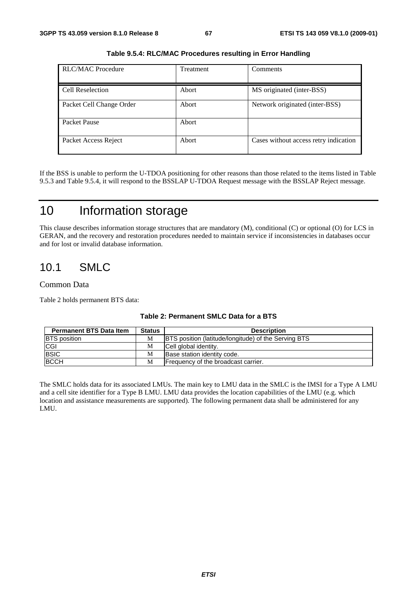| <b>RLC/MAC Procedure</b> | <b>Treatment</b> | Comments                              |
|--------------------------|------------------|---------------------------------------|
|                          |                  |                                       |
| Cell Reselection         | Abort            | MS originated (inter-BSS)             |
| Packet Cell Change Order | Abort            | Network originated (inter-BSS)        |
| Packet Pause             | Abort            |                                       |
| Packet Access Reject     | Abort            | Cases without access retry indication |

**Table 9.5.4: RLC/MAC Procedures resulting in Error Handling** 

If the BSS is unable to perform the U-TDOA positioning for other reasons than those related to the items listed in Table 9.5.3 and Table 9.5.4, it will respond to the BSSLAP U-TDOA Request message with the BSSLAP Reject message.

## 10 Information storage

This clause describes information storage structures that are mandatory (M), conditional (C) or optional (O) for LCS in GERAN, and the recovery and restoration procedures needed to maintain service if inconsistencies in databases occur and for lost or invalid database information.

## 10.1 SMLC

#### Common Data

Table 2 holds permanent BTS data:

| <b>Permanent BTS Data Item</b> | <b>Status</b> | <b>Description</b>                                          |
|--------------------------------|---------------|-------------------------------------------------------------|
| <b>BTS</b> position            | М             | <b>BTS</b> position (latitude/longitude) of the Serving BTS |
| <b>CGI</b>                     | М             | Cell global identity.                                       |
| <b>BSIC</b>                    | М             | Base station identity code.                                 |
| <b>BCCH</b>                    | M             | Frequency of the broadcast carrier.                         |

#### **Table 2: Permanent SMLC Data for a BTS**

The SMLC holds data for its associated LMUs. The main key to LMU data in the SMLC is the IMSI for a Type A LMU and a cell site identifier for a Type B LMU. LMU data provides the location capabilities of the LMU (e.g. which location and assistance measurements are supported). The following permanent data shall be administered for any LMU.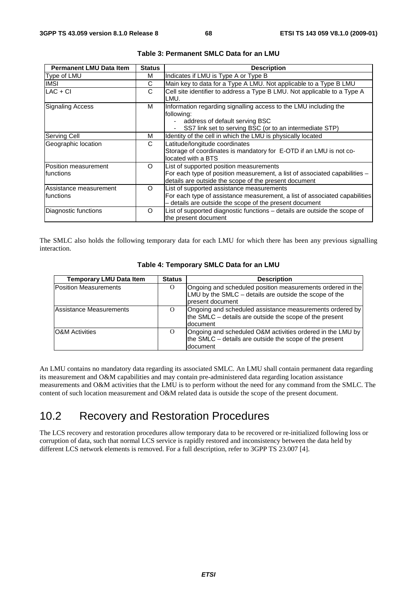| <b>Permanent LMU Data Item</b>       | <b>Status</b> | <b>Description</b>                                                                                                                                                                 |
|--------------------------------------|---------------|------------------------------------------------------------------------------------------------------------------------------------------------------------------------------------|
| Type of LMU                          | м             | Indicates if LMU is Type A or Type B                                                                                                                                               |
| <b>IMSI</b>                          | С             | Main key to data for a Type A LMU. Not applicable to a Type B LMU                                                                                                                  |
| $LAC + CI$                           | C             | Cell site identifier to address a Type B LMU. Not applicable to a Type A<br>LMU.                                                                                                   |
| Signaling Access                     | м             | Information regarding signalling access to the LMU including the<br>following:<br>address of default serving BSC<br>SS7 link set to serving BSC (or to an intermediate STP)        |
| Serving Cell                         | м             | Identity of the cell in which the LMU is physically located                                                                                                                        |
| Geographic location                  | C             | Latitude/longitude coordinates<br>Storage of coordinates is mandatory for E-OTD if an LMU is not co-<br>located with a BTS                                                         |
| Position measurement<br>Ifunctions   | $\Omega$      | List of supported position measurements<br>For each type of position measurement, a list of associated capabilities –<br>details are outside the scope of the present document     |
| Assistance measurement<br>Ifunctions | $\Omega$      | List of supported assistance measurements<br>For each type of assistance measurement, a list of associated capabilities<br>- details are outside the scope of the present document |
| Diagnostic functions                 | Ω             | List of supported diagnostic functions - details are outside the scope of<br>the present document                                                                                  |

| Table 3: Permanent SMLC Data for an LMU |  |  |
|-----------------------------------------|--|--|
|-----------------------------------------|--|--|

The SMLC also holds the following temporary data for each LMU for which there has been any previous signalling interaction.

| <b>Temporary LMU Data Item</b> | <b>Status</b> | <b>Description</b>                                                                                                                       |
|--------------------------------|---------------|------------------------------------------------------------------------------------------------------------------------------------------|
| Position Measurements          | O             | Ongoing and scheduled position measurements ordered in the<br>LMU by the SMLC – details are outside the scope of the<br>present document |
| Assistance Measurements        | $\Omega$      | Ongoing and scheduled assistance measurements ordered by<br>the SMLC – details are outside the scope of the present<br>document          |
| <b>O&amp;M</b> Activities      | $\Omega$      | Ongoing and scheduled O&M activities ordered in the LMU by<br>the SMLC – details are outside the scope of the present<br>document        |

#### **Table 4: Temporary SMLC Data for an LMU**

An LMU contains no mandatory data regarding its associated SMLC. An LMU shall contain permanent data regarding its measurement and O&M capabilities and may contain pre-administered data regarding location assistance measurements and O&M activities that the LMU is to perform without the need for any command from the SMLC. The content of such location measurement and O&M related data is outside the scope of the present document.

## 10.2 Recovery and Restoration Procedures

The LCS recovery and restoration procedures allow temporary data to be recovered or re-initialized following loss or corruption of data, such that normal LCS service is rapidly restored and inconsistency between the data held by different LCS network elements is removed. For a full description, refer to 3GPP TS 23.007 [4].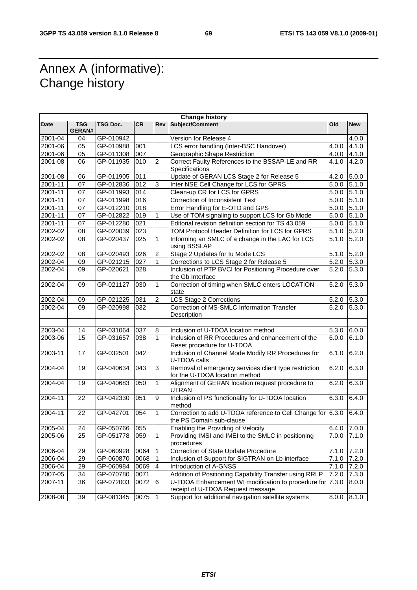## Annex A (informative): Change history

r

| <b>Change history</b> |                             |               |           |                  |                                                                                                |               |            |
|-----------------------|-----------------------------|---------------|-----------|------------------|------------------------------------------------------------------------------------------------|---------------|------------|
| Date                  | <b>TSG</b><br><b>GERAN#</b> | TSG Doc.      | <b>CR</b> | Rev              | Subject/Comment                                                                                | Old           | <b>New</b> |
| 2001-04               | 04                          | GP-010942     |           |                  | Version for Release 4                                                                          |               | 4.0.0      |
| 2001-06               | 05                          | GP-010988     | 001       |                  | LCS error handling (Inter-BSC Handover)                                                        | 4.0.0         | 4.1.0      |
| 2001-06               | 05                          | GP-011308     | 007       |                  | Geographic Shape Restriction                                                                   | 4.0.0         | 4.1.0      |
| 2001-08               | 06                          | GP-011935     | 010       | $\overline{c}$   | Correct Faulty References to the BSSAP-LE and RR<br>Specifications                             | 4.1.0         | 4.2.0      |
| 2001-08               | 06                          | GP-011905     | 011       |                  | Update of GERAN LCS Stage 2 for Release 5                                                      | 4.2.0         | 5.0.0      |
| 2001-11               | 07                          | GP-012836     | 012       | 3                | Inter NSE Cell Change for LCS for GPRS                                                         | 5.0.0         | 5.1.0      |
| $2001 - 11$           | 07                          | GP-011993     | 014       |                  | Clean-up CR for LCS for GPRS                                                                   | 5.0.0         | 5.1.0      |
| 2001-11               | 07                          | GP-011998     | 016       |                  | Correction of Inconsistent Text                                                                | 5.0.0         | 5.1.0      |
| 2001-11               | 07                          | GP-012210     | 018       |                  | Error Handling for E-OTD and GPS                                                               | 5.0.0         | 5.1.0      |
| 2001-11               | 07                          | GP-012822     | 019       | 1                | Use of TOM signaling to support LCS for Gb Mode                                                | 5.0.0         | 5.1.0      |
| $2001 - 11$           | 07                          | GP-012280     | 021       |                  | Editorial revision definition section for TS 43.059                                            | 5.0.0         | 5.1.0      |
| 2002-02               | 08                          | GP-020039     | 023       |                  | TOM Protocol Header Definition for LCS for GPRS                                                | 5.1.0         | 5.2.0      |
| 2002-02               | 08                          | GP-020437     | 025       | $\mathbf{1}$     | Informing an SMLC of a change in the LAC for LCS<br>using BSSLAP                               | 5.1.0         | 5.2.0      |
| 2002-02               | 08                          | GP-020493     | 026       | $\boldsymbol{2}$ | Stage 2 Updates for Iu Mode LCS                                                                | 5.1.0         | 5.2.0      |
| 2002-04               | 09                          | GP-021215     | 027       | 1                | Corrections to LCS Stage 2 for Release 5                                                       | 5.2.0         | 5.3.0      |
| 2002-04               | 09                          | GP-020621     | 028       |                  | Inclusion of PTP BVCI for Positioning Procedure over<br>the Gb Interface                       | 5.2.0         | 5.3.0      |
| 2002-04               | 09                          | GP-021127     | 030       | $\mathbf{1}$     | Correction of timing when SMLC enters LOCATION<br>state                                        | 5.2.0         | 5.3.0      |
| $2002 - 04$           | 09                          | GP-021225     | 031       | $\overline{2}$   | <b>LCS Stage 2 Corrections</b>                                                                 | 5.2.0         | 5.3.0      |
| 2002-04               | 09                          | GP-020998     | 032       |                  | Correction of MS-SMLC Information Transfer<br>Description                                      | 5.2.0         | 5.3.0      |
|                       |                             |               |           |                  |                                                                                                |               |            |
| 2003-04               | 14                          | GP-031064     | 037       | 8                | Inclusion of U-TDOA location method                                                            | 5.3.0         | 6.0.0      |
| 2003-06               | 15                          | GP-031657     | 038       | $\mathbf{1}$     | Inclusion of RR Procedures and enhancement of the<br>Reset procedure for U-TDOA                | 6.0.0         | 6.1.0      |
| 2003-11               | 17                          | GP-032501     | 042       |                  | Inclusion of Channel Mode Modify RR Procedures for<br>U-TDOA calls                             | 6.1.0         | 6.2.0      |
| 2004-04               | 19                          | GP-040634     | 043       | 3                | Removal of emergency services client type restriction<br>for the U-TDOA location method        | 6.2.0         | 6.3.0      |
| 2004-04               | 19                          | GP-040683     | 050       | 1                | Alignment of GERAN location request procedure to<br><b>UTRAN</b>                               | 6.2.0         | 6.3.0      |
| 2004-11               | 22                          | GP-042330     | 051       | 9                | Inclusion of PS functionality for U-TDOA location<br>method                                    | 6.3.0         | 6.4.0      |
| 2004-11               | 22                          | GP-042701     | 054       | $\mathbf{1}$     | Correction to add U-TDOA reference to Cell Change for 6.3.0<br>the PS Domain sub-clause        |               | 6.4.0      |
| 2005-04               | 24                          | GP-050766 055 |           |                  | Enabling the Providing of Velocity                                                             | $6.4.0$ 7.0.0 |            |
| 2005-06               | 25                          | GP-051778     | 059       | $\mathbf{1}$     | Providing IMSI and IMEI to the SMLC in positioning<br>procedures                               | 7.0.0         | 7.1.0      |
| 2006-04               | 29                          | GP-060928     | 0064      | $\mathbf{1}$     | Correction of State Update Procedure                                                           | 7.1.0         | 7.2.0      |
| 2006-04               | 29                          | GP-060870     | 0068      | 1                | Inclusion of Support for SIGTRAN on Lb-interface                                               | 7.1.0         | 7.2.0      |
| 2006-04               | 29                          | GP-060984     | 0069      | $\overline{4}$   | Introduction of A-GNSS                                                                         | 7.1.0         | 7.2.0      |
| 2007-05               | 34                          | GP-070780     | 0071      |                  | Addition of Positioning Capability Transfer using RRLP                                         | 7.2.0         | 7.3.0      |
| 2007-11               | 36                          | GP-072003     | 0072      | 6                | U-TDOA Enhancement WI modification to procedure for 7.3.0<br>receipt of U-TDOA Request message |               | 8.0.0      |
| 2008-08               | 39                          | GP-081345     | 0075      | $\vert$ 1        | Support for additional navigation satellite systems                                            | 8.0.0         | 8.1.0      |